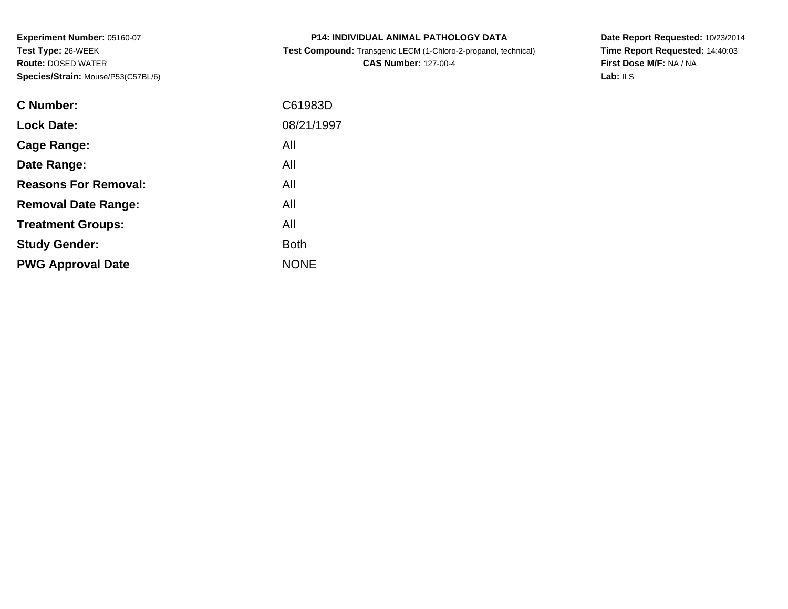**Experiment Number:** 05160-07**Test Type:** 26-WEEK **Route:** DOSED WATER**Species/Strain:** Mouse/P53(C57BL/6)

| <b>P14: INDIVIDUAL ANIMAL PATHOLOGY DATA</b>                    |
|-----------------------------------------------------------------|
| Test Compound: Transgenic LECM (1-Chloro-2-propanol, technical) |

**CAS Number:** 127-00-4

**Date Report Requested:** 10/23/2014 **Time Report Requested:** 14:40:03**First Dose M/F:** NA / NA**Lab:** ILS

| C61983D     |
|-------------|
| 08/21/1997  |
| All         |
| All         |
| All         |
| All         |
| All         |
| <b>Both</b> |
| <b>NONE</b> |
|             |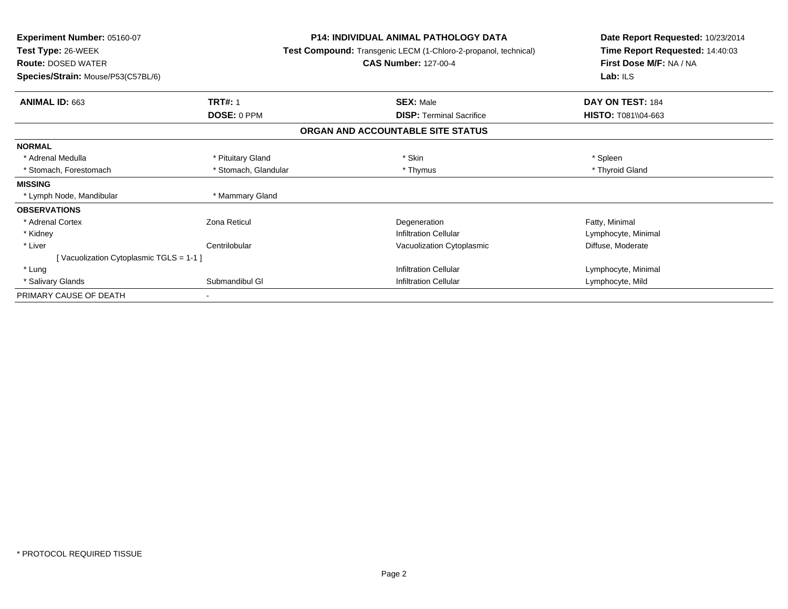| Experiment Number: 05160-07             |                                                                 | <b>P14: INDIVIDUAL ANIMAL PATHOLOGY DATA</b> | Date Report Requested: 10/23/2014 |
|-----------------------------------------|-----------------------------------------------------------------|----------------------------------------------|-----------------------------------|
| Test Type: 26-WEEK                      | Test Compound: Transgenic LECM (1-Chloro-2-propanol, technical) |                                              | Time Report Requested: 14:40:03   |
| <b>Route: DOSED WATER</b>               |                                                                 | <b>CAS Number: 127-00-4</b>                  | First Dose M/F: NA / NA           |
| Species/Strain: Mouse/P53(C57BL/6)      |                                                                 |                                              | Lab: $ILS$                        |
| <b>ANIMAL ID: 663</b>                   | <b>TRT#: 1</b>                                                  | <b>SEX: Male</b>                             | DAY ON TEST: 184                  |
|                                         | DOSE: 0 PPM                                                     | <b>DISP: Terminal Sacrifice</b>              | <b>HISTO: T081\\04-663</b>        |
|                                         |                                                                 | ORGAN AND ACCOUNTABLE SITE STATUS            |                                   |
| <b>NORMAL</b>                           |                                                                 |                                              |                                   |
| * Adrenal Medulla                       | * Pituitary Gland                                               | * Skin                                       | * Spleen                          |
| * Stomach, Forestomach                  | * Stomach, Glandular                                            | * Thymus                                     | * Thyroid Gland                   |
| <b>MISSING</b>                          |                                                                 |                                              |                                   |
| * Lymph Node, Mandibular                | * Mammary Gland                                                 |                                              |                                   |
| <b>OBSERVATIONS</b>                     |                                                                 |                                              |                                   |
| * Adrenal Cortex                        | Zona Reticul                                                    | Degeneration                                 | Fatty, Minimal                    |
| * Kidney                                |                                                                 | <b>Infiltration Cellular</b>                 | Lymphocyte, Minimal               |
| * Liver                                 | Centrilobular                                                   | Vacuolization Cytoplasmic                    | Diffuse, Moderate                 |
| [Vacuolization Cytoplasmic TGLS = 1-1 ] |                                                                 |                                              |                                   |
| * Lung                                  |                                                                 | <b>Infiltration Cellular</b>                 | Lymphocyte, Minimal               |
| * Salivary Glands                       | Submandibul GI                                                  | <b>Infiltration Cellular</b>                 | Lymphocyte, Mild                  |
| PRIMARY CAUSE OF DEATH                  |                                                                 |                                              |                                   |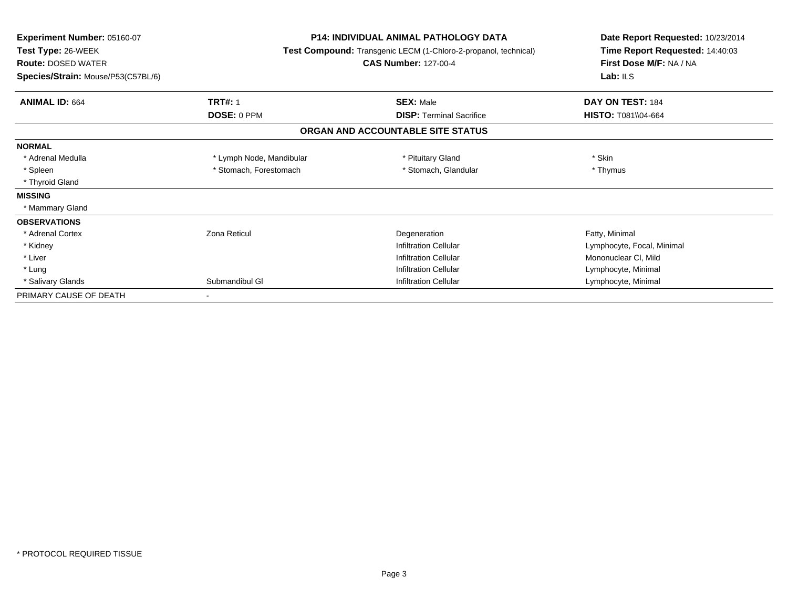| <b>Experiment Number: 05160-07</b><br>Test Type: 26-WEEK<br><b>Route: DOSED WATER</b><br>Species/Strain: Mouse/P53(C57BL/6) |                          | <b>P14: INDIVIDUAL ANIMAL PATHOLOGY DATA</b><br>Test Compound: Transgenic LECM (1-Chloro-2-propanol, technical)<br><b>CAS Number: 127-00-4</b> | Date Report Requested: 10/23/2014<br>Time Report Requested: 14:40:03<br>First Dose M/F: NA / NA<br>Lab: ILS |
|-----------------------------------------------------------------------------------------------------------------------------|--------------------------|------------------------------------------------------------------------------------------------------------------------------------------------|-------------------------------------------------------------------------------------------------------------|
| <b>ANIMAL ID: 664</b>                                                                                                       | <b>TRT#: 1</b>           | <b>SEX: Male</b>                                                                                                                               | DAY ON TEST: 184                                                                                            |
|                                                                                                                             | DOSE: 0 PPM              | <b>DISP: Terminal Sacrifice</b>                                                                                                                | <b>HISTO: T081\\04-664</b>                                                                                  |
|                                                                                                                             |                          | ORGAN AND ACCOUNTABLE SITE STATUS                                                                                                              |                                                                                                             |
| <b>NORMAL</b>                                                                                                               |                          |                                                                                                                                                |                                                                                                             |
| * Adrenal Medulla                                                                                                           | * Lymph Node, Mandibular | * Pituitary Gland                                                                                                                              | * Skin                                                                                                      |
| * Spleen                                                                                                                    | * Stomach, Forestomach   | * Stomach, Glandular                                                                                                                           | * Thymus                                                                                                    |
| * Thyroid Gland                                                                                                             |                          |                                                                                                                                                |                                                                                                             |
| <b>MISSING</b>                                                                                                              |                          |                                                                                                                                                |                                                                                                             |
| * Mammary Gland                                                                                                             |                          |                                                                                                                                                |                                                                                                             |
| <b>OBSERVATIONS</b>                                                                                                         |                          |                                                                                                                                                |                                                                                                             |
| * Adrenal Cortex                                                                                                            | <b>Zona Reticul</b>      | Degeneration                                                                                                                                   | Fatty, Minimal                                                                                              |
| * Kidney                                                                                                                    |                          | <b>Infiltration Cellular</b>                                                                                                                   | Lymphocyte, Focal, Minimal                                                                                  |
| * Liver                                                                                                                     |                          | <b>Infiltration Cellular</b>                                                                                                                   | Mononuclear CI, Mild                                                                                        |
| * Lung                                                                                                                      |                          | <b>Infiltration Cellular</b>                                                                                                                   | Lymphocyte, Minimal                                                                                         |
| * Salivary Glands                                                                                                           | Submandibul GI           | <b>Infiltration Cellular</b>                                                                                                                   | Lymphocyte, Minimal                                                                                         |
| PRIMARY CAUSE OF DEATH                                                                                                      | $\blacksquare$           |                                                                                                                                                |                                                                                                             |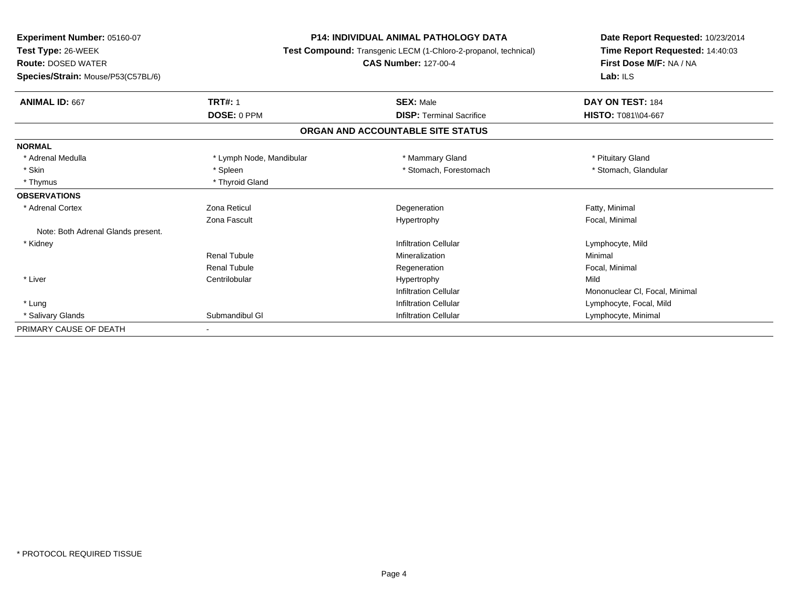**Experiment Number:** 05160-07**Test Type:** 26-WEEK **Route:** DOSED WATER **Species/Strain:** Mouse/P53(C57BL/6)**P14: INDIVIDUAL ANIMAL PATHOLOGY DATA Test Compound:** Transgenic LECM (1-Chloro-2-propanol, technical)**CAS Number:** 127-00-4**Date Report Requested:** 10/23/2014**Time Report Requested:** 14:40:03**First Dose M/F:** NA / NA**Lab:** ILS**ANIMAL ID:** 667**TRT#:** 1 **SEX:** Male **DAY ON TEST:** 184 **DOSE:** 0 PPM**DISP:** Terminal Sacrifice **HISTO:**  $T081\|04-667$ **ORGAN AND ACCOUNTABLE SITE STATUSNORMAL**\* Adrenal Medulla \* Lymph Node, Mandibular \* Manusia \* Mammary Gland \* Pituitary Gland \* Pituitary Gland \* Stomach, Glandular \* Skin \* Spleen \* Spleen \* Spleen \* Stomach, Forestomach \* Stomach, Forestomach \* Thymus \* Thyroid Gland**OBSERVATIONS** \* Adrenal Cortexx **Executive State 2** Zona Reticul **Constants Constants Constants Constants Constants Degeneration** Degeneration **Example 2** Contract Party, Minimal Zona Fascult Hypertrophy Focal, Minimal Note: Both Adrenal Glands present. \* Kidneyy the contract of the contract of the contract of the contract of the contract of the contract of the contract of  $\mathsf{Lymphocyte}$ , Mild Renal Tubule Mineralization Minimal Renal Tubule Regeneration Focal, Minimal \* LiverCentrilobular **Hypertrophy** y Mild r **Mononuclear CI, Focal, Minimal** Infiltration Cellular \* Lung Infiltration Cellular Lymphocyte, Focal, Mild \* Salivary GlandsSubmandibul Gl **Infiltration Cellular** Cellular Cellular Cellular Cellular Cellular Cellular Cellular Cellular Cellular Cellular Cellular Cellular Cellular Cellular Cellular Cellular Cellular Cellular Cellular Cellular Cel PRIMARY CAUSE OF DEATH-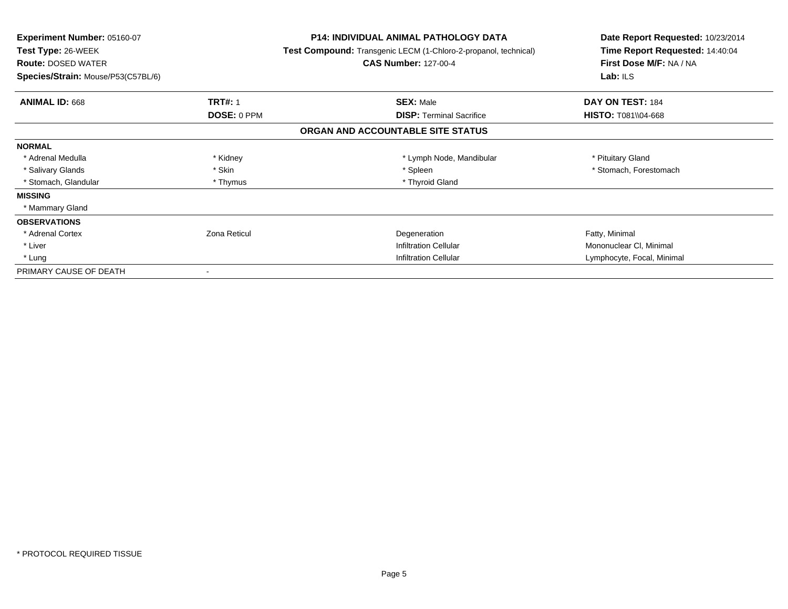| <b>Experiment Number: 05160-07</b><br><b>Test Type: 26-WEEK</b><br><b>Route: DOSED WATER</b><br>Species/Strain: Mouse/P53(C57BL/6) |                    | <b>P14: INDIVIDUAL ANIMAL PATHOLOGY DATA</b><br><b>Test Compound:</b> Transgenic LECM (1-Chloro-2-propanol, technical)<br><b>CAS Number: 127-00-4</b> | Date Report Requested: 10/23/2014<br>Time Report Requested: 14:40:04<br>First Dose M/F: NA / NA<br>Lab: $ILS$ |  |
|------------------------------------------------------------------------------------------------------------------------------------|--------------------|-------------------------------------------------------------------------------------------------------------------------------------------------------|---------------------------------------------------------------------------------------------------------------|--|
| <b>ANIMAL ID: 668</b>                                                                                                              | <b>TRT#: 1</b>     | <b>SEX: Male</b>                                                                                                                                      | DAY ON TEST: 184                                                                                              |  |
|                                                                                                                                    | <b>DOSE: 0 PPM</b> | <b>DISP:</b> Terminal Sacrifice                                                                                                                       | <b>HISTO: T081\\04-668</b>                                                                                    |  |
|                                                                                                                                    |                    | ORGAN AND ACCOUNTABLE SITE STATUS                                                                                                                     |                                                                                                               |  |
| <b>NORMAL</b>                                                                                                                      |                    |                                                                                                                                                       |                                                                                                               |  |
| * Adrenal Medulla                                                                                                                  | * Kidney           | * Lymph Node, Mandibular                                                                                                                              | * Pituitary Gland                                                                                             |  |
| * Salivary Glands                                                                                                                  | * Skin             | * Spleen                                                                                                                                              | * Stomach, Forestomach                                                                                        |  |
| * Stomach, Glandular                                                                                                               | * Thymus           | * Thyroid Gland                                                                                                                                       |                                                                                                               |  |
| <b>MISSING</b>                                                                                                                     |                    |                                                                                                                                                       |                                                                                                               |  |
| * Mammary Gland                                                                                                                    |                    |                                                                                                                                                       |                                                                                                               |  |
| <b>OBSERVATIONS</b>                                                                                                                |                    |                                                                                                                                                       |                                                                                                               |  |
| * Adrenal Cortex                                                                                                                   | Zona Reticul       | Degeneration                                                                                                                                          | Fatty, Minimal                                                                                                |  |
| * Liver                                                                                                                            |                    | <b>Infiltration Cellular</b>                                                                                                                          | Mononuclear CI, Minimal                                                                                       |  |
| * Lung                                                                                                                             |                    | <b>Infiltration Cellular</b>                                                                                                                          | Lymphocyte, Focal, Minimal                                                                                    |  |
| PRIMARY CAUSE OF DEATH                                                                                                             |                    |                                                                                                                                                       |                                                                                                               |  |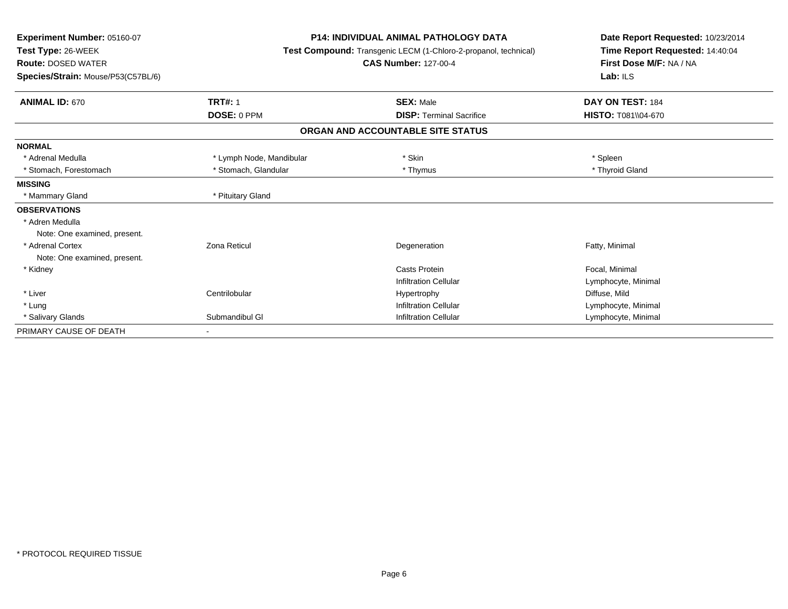| Experiment Number: 05160-07<br>Test Type: 26-WEEK<br><b>Route: DOSED WATER</b><br>Species/Strain: Mouse/P53(C57BL/6) | <b>P14: INDIVIDUAL ANIMAL PATHOLOGY DATA</b><br>Test Compound: Transgenic LECM (1-Chloro-2-propanol, technical)<br><b>CAS Number: 127-00-4</b> |                                   | Date Report Requested: 10/23/2014<br>Time Report Requested: 14:40:04<br>First Dose M/F: NA / NA<br>Lab: $ILS$ |
|----------------------------------------------------------------------------------------------------------------------|------------------------------------------------------------------------------------------------------------------------------------------------|-----------------------------------|---------------------------------------------------------------------------------------------------------------|
| <b>ANIMAL ID: 670</b>                                                                                                | <b>TRT#: 1</b>                                                                                                                                 | <b>SEX: Male</b>                  | DAY ON TEST: 184                                                                                              |
|                                                                                                                      | DOSE: 0 PPM                                                                                                                                    | <b>DISP: Terminal Sacrifice</b>   | <b>HISTO: T081\\04-670</b>                                                                                    |
|                                                                                                                      |                                                                                                                                                | ORGAN AND ACCOUNTABLE SITE STATUS |                                                                                                               |
| <b>NORMAL</b>                                                                                                        |                                                                                                                                                |                                   |                                                                                                               |
| * Adrenal Medulla                                                                                                    | * Lymph Node, Mandibular                                                                                                                       | * Skin                            | * Spleen                                                                                                      |
| * Stomach, Forestomach                                                                                               | * Stomach, Glandular                                                                                                                           | * Thymus                          | * Thyroid Gland                                                                                               |
| <b>MISSING</b>                                                                                                       |                                                                                                                                                |                                   |                                                                                                               |
| * Mammary Gland                                                                                                      | * Pituitary Gland                                                                                                                              |                                   |                                                                                                               |
| <b>OBSERVATIONS</b>                                                                                                  |                                                                                                                                                |                                   |                                                                                                               |
| * Adren Medulla                                                                                                      |                                                                                                                                                |                                   |                                                                                                               |
| Note: One examined, present.                                                                                         |                                                                                                                                                |                                   |                                                                                                               |
| * Adrenal Cortex                                                                                                     | Zona Reticul                                                                                                                                   | Degeneration                      | Fatty, Minimal                                                                                                |
| Note: One examined, present.                                                                                         |                                                                                                                                                |                                   |                                                                                                               |
| * Kidney                                                                                                             |                                                                                                                                                | Casts Protein                     | Focal, Minimal                                                                                                |
|                                                                                                                      |                                                                                                                                                | <b>Infiltration Cellular</b>      | Lymphocyte, Minimal                                                                                           |
| * Liver                                                                                                              | Centrilobular                                                                                                                                  | Hypertrophy                       | Diffuse, Mild                                                                                                 |
| * Lung                                                                                                               |                                                                                                                                                | <b>Infiltration Cellular</b>      | Lymphocyte, Minimal                                                                                           |
| * Salivary Glands                                                                                                    | Submandibul GI                                                                                                                                 | <b>Infiltration Cellular</b>      | Lymphocyte, Minimal                                                                                           |
| PRIMARY CAUSE OF DEATH                                                                                               |                                                                                                                                                |                                   |                                                                                                               |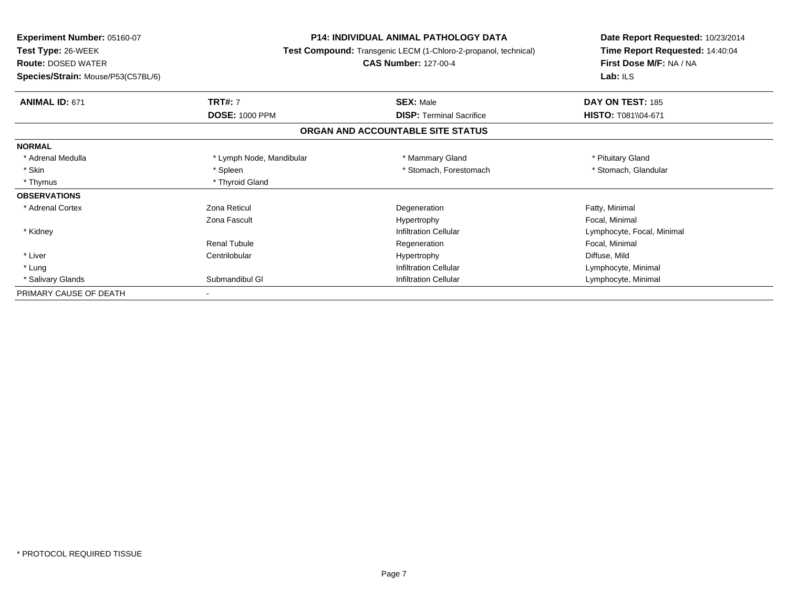| <b>Experiment Number: 05160-07</b> | <b>P14: INDIVIDUAL ANIMAL PATHOLOGY DATA</b><br><b>Test Compound:</b> Transgenic LECM (1-Chloro-2-propanol, technical)<br><b>CAS Number: 127-00-4</b> |                                   | Date Report Requested: 10/23/2014 |
|------------------------------------|-------------------------------------------------------------------------------------------------------------------------------------------------------|-----------------------------------|-----------------------------------|
| <b>Test Type: 26-WEEK</b>          |                                                                                                                                                       |                                   | Time Report Requested: 14:40:04   |
| <b>Route: DOSED WATER</b>          |                                                                                                                                                       |                                   | First Dose M/F: NA / NA           |
| Species/Strain: Mouse/P53(C57BL/6) |                                                                                                                                                       |                                   | Lab: $ILS$                        |
| <b>ANIMAL ID: 671</b>              | <b>TRT#: 7</b>                                                                                                                                        | <b>SEX: Male</b>                  | DAY ON TEST: 185                  |
|                                    | <b>DOSE: 1000 PPM</b>                                                                                                                                 | <b>DISP:</b> Terminal Sacrifice   | HISTO: T081\\04-671               |
|                                    |                                                                                                                                                       | ORGAN AND ACCOUNTABLE SITE STATUS |                                   |
| <b>NORMAL</b>                      |                                                                                                                                                       |                                   |                                   |
| * Adrenal Medulla                  | * Lymph Node, Mandibular                                                                                                                              | * Mammary Gland                   | * Pituitary Gland                 |
| * Skin                             | * Spleen                                                                                                                                              | * Stomach, Forestomach            | * Stomach, Glandular              |
| * Thymus                           | * Thyroid Gland                                                                                                                                       |                                   |                                   |
| <b>OBSERVATIONS</b>                |                                                                                                                                                       |                                   |                                   |
| * Adrenal Cortex                   | <b>Zona Reticul</b>                                                                                                                                   | Degeneration                      | Fatty, Minimal                    |
|                                    | Zona Fascult                                                                                                                                          | Hypertrophy                       | Focal, Minimal                    |
| * Kidney                           |                                                                                                                                                       | <b>Infiltration Cellular</b>      | Lymphocyte, Focal, Minimal        |
|                                    | <b>Renal Tubule</b>                                                                                                                                   | Regeneration                      | Focal, Minimal                    |
| * Liver                            | Centrilobular                                                                                                                                         | Hypertrophy                       | Diffuse, Mild                     |
| * Lung                             |                                                                                                                                                       | <b>Infiltration Cellular</b>      | Lymphocyte, Minimal               |
| * Salivary Glands                  | Submandibul GI                                                                                                                                        | <b>Infiltration Cellular</b>      | Lymphocyte, Minimal               |
| PRIMARY CAUSE OF DEATH             |                                                                                                                                                       |                                   |                                   |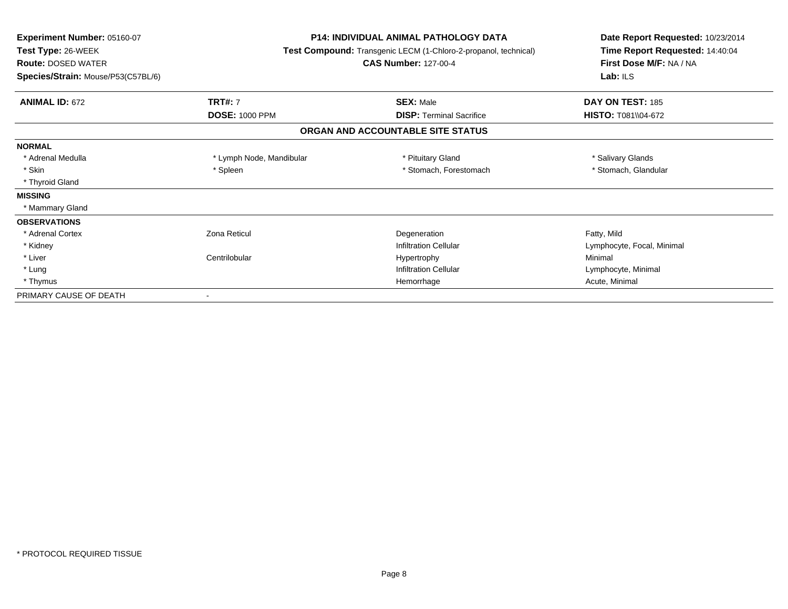| Experiment Number: 05160-07<br>Test Type: 26-WEEK<br><b>Route: DOSED WATER</b><br>Species/Strain: Mouse/P53(C57BL/6) | <b>P14: INDIVIDUAL ANIMAL PATHOLOGY DATA</b><br>Test Compound: Transgenic LECM (1-Chloro-2-propanol, technical)<br><b>CAS Number: 127-00-4</b> |                                   | Date Report Requested: 10/23/2014<br>Time Report Requested: 14:40:04<br>First Dose M/F: NA / NA<br>Lab: ILS |
|----------------------------------------------------------------------------------------------------------------------|------------------------------------------------------------------------------------------------------------------------------------------------|-----------------------------------|-------------------------------------------------------------------------------------------------------------|
| <b>ANIMAL ID: 672</b>                                                                                                | <b>TRT#: 7</b>                                                                                                                                 | <b>SEX: Male</b>                  | DAY ON TEST: 185                                                                                            |
|                                                                                                                      | <b>DOSE: 1000 PPM</b>                                                                                                                          | <b>DISP:</b> Terminal Sacrifice   | <b>HISTO: T081\\04-672</b>                                                                                  |
|                                                                                                                      |                                                                                                                                                | ORGAN AND ACCOUNTABLE SITE STATUS |                                                                                                             |
| <b>NORMAL</b>                                                                                                        |                                                                                                                                                |                                   |                                                                                                             |
| * Adrenal Medulla                                                                                                    | * Lymph Node, Mandibular                                                                                                                       | * Pituitary Gland                 | * Salivary Glands                                                                                           |
| * Skin                                                                                                               | * Spleen                                                                                                                                       | * Stomach, Forestomach            | * Stomach, Glandular                                                                                        |
| * Thyroid Gland                                                                                                      |                                                                                                                                                |                                   |                                                                                                             |
| <b>MISSING</b>                                                                                                       |                                                                                                                                                |                                   |                                                                                                             |
| * Mammary Gland                                                                                                      |                                                                                                                                                |                                   |                                                                                                             |
| <b>OBSERVATIONS</b>                                                                                                  |                                                                                                                                                |                                   |                                                                                                             |
| * Adrenal Cortex                                                                                                     | Zona Reticul                                                                                                                                   | Degeneration                      | Fatty, Mild                                                                                                 |
| * Kidney                                                                                                             |                                                                                                                                                | <b>Infiltration Cellular</b>      | Lymphocyte, Focal, Minimal                                                                                  |
| * Liver                                                                                                              | Centrilobular                                                                                                                                  | Hypertrophy                       | Minimal                                                                                                     |
| * Lung                                                                                                               |                                                                                                                                                | <b>Infiltration Cellular</b>      | Lymphocyte, Minimal                                                                                         |
| * Thymus                                                                                                             |                                                                                                                                                | Hemorrhage                        | Acute, Minimal                                                                                              |
| PRIMARY CAUSE OF DEATH                                                                                               |                                                                                                                                                |                                   |                                                                                                             |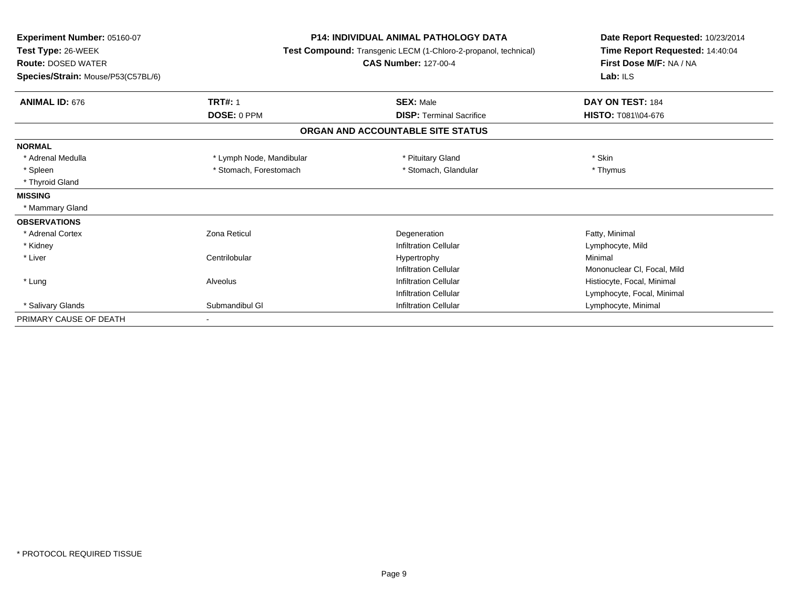| Experiment Number: 05160-07<br>Test Type: 26-WEEK<br><b>Route: DOSED WATER</b><br>Species/Strain: Mouse/P53(C57BL/6) | <b>P14: INDIVIDUAL ANIMAL PATHOLOGY DATA</b><br>Test Compound: Transgenic LECM (1-Chloro-2-propanol, technical)<br><b>CAS Number: 127-00-4</b> |                                   | Date Report Requested: 10/23/2014<br>Time Report Requested: 14:40:04<br>First Dose M/F: NA / NA<br>Lab: ILS |
|----------------------------------------------------------------------------------------------------------------------|------------------------------------------------------------------------------------------------------------------------------------------------|-----------------------------------|-------------------------------------------------------------------------------------------------------------|
| <b>ANIMAL ID: 676</b>                                                                                                | <b>TRT#: 1</b>                                                                                                                                 | <b>SEX: Male</b>                  | DAY ON TEST: 184                                                                                            |
|                                                                                                                      | DOSE: 0 PPM                                                                                                                                    | <b>DISP: Terminal Sacrifice</b>   | <b>HISTO: T081\\04-676</b>                                                                                  |
|                                                                                                                      |                                                                                                                                                | ORGAN AND ACCOUNTABLE SITE STATUS |                                                                                                             |
| <b>NORMAL</b>                                                                                                        |                                                                                                                                                |                                   |                                                                                                             |
| * Adrenal Medulla                                                                                                    | * Lymph Node, Mandibular                                                                                                                       | * Pituitary Gland                 | * Skin                                                                                                      |
| * Spleen                                                                                                             | * Stomach, Forestomach                                                                                                                         | * Stomach, Glandular              | * Thymus                                                                                                    |
| * Thyroid Gland                                                                                                      |                                                                                                                                                |                                   |                                                                                                             |
| <b>MISSING</b>                                                                                                       |                                                                                                                                                |                                   |                                                                                                             |
| * Mammary Gland                                                                                                      |                                                                                                                                                |                                   |                                                                                                             |
| <b>OBSERVATIONS</b>                                                                                                  |                                                                                                                                                |                                   |                                                                                                             |
| * Adrenal Cortex                                                                                                     | Zona Reticul                                                                                                                                   | Degeneration                      | Fatty, Minimal                                                                                              |
| * Kidney                                                                                                             |                                                                                                                                                | <b>Infiltration Cellular</b>      | Lymphocyte, Mild                                                                                            |
| * Liver                                                                                                              | Centrilobular                                                                                                                                  | Hypertrophy                       | Minimal                                                                                                     |
|                                                                                                                      |                                                                                                                                                | <b>Infiltration Cellular</b>      | Mononuclear CI, Focal, Mild                                                                                 |
| * Lung                                                                                                               | Alveolus                                                                                                                                       | <b>Infiltration Cellular</b>      | Histiocyte, Focal, Minimal                                                                                  |
|                                                                                                                      |                                                                                                                                                | <b>Infiltration Cellular</b>      | Lymphocyte, Focal, Minimal                                                                                  |
| * Salivary Glands                                                                                                    | Submandibul GI                                                                                                                                 | <b>Infiltration Cellular</b>      | Lymphocyte, Minimal                                                                                         |
| PRIMARY CAUSE OF DEATH                                                                                               |                                                                                                                                                |                                   |                                                                                                             |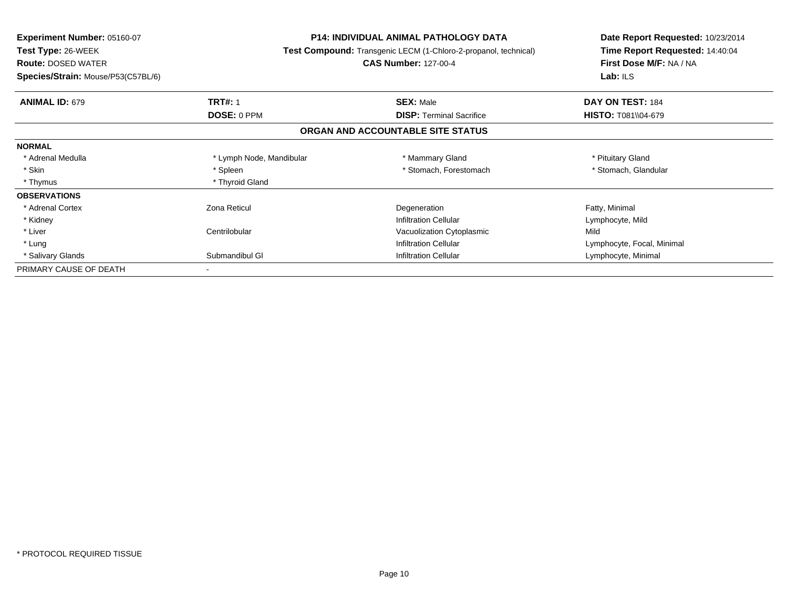| Experiment Number: 05160-07        | <b>P14: INDIVIDUAL ANIMAL PATHOLOGY DATA</b><br>Test Compound: Transgenic LECM (1-Chloro-2-propanol, technical) |                                   | Date Report Requested: 10/23/2014 |
|------------------------------------|-----------------------------------------------------------------------------------------------------------------|-----------------------------------|-----------------------------------|
| Test Type: 26-WEEK                 |                                                                                                                 |                                   | Time Report Requested: 14:40:04   |
| <b>Route: DOSED WATER</b>          |                                                                                                                 | <b>CAS Number: 127-00-4</b>       | First Dose M/F: NA / NA           |
| Species/Strain: Mouse/P53(C57BL/6) |                                                                                                                 |                                   | Lab: $ILS$                        |
| <b>ANIMAL ID: 679</b>              | <b>TRT#: 1</b>                                                                                                  | <b>SEX: Male</b>                  | DAY ON TEST: 184                  |
|                                    | <b>DOSE: 0 PPM</b>                                                                                              | <b>DISP:</b> Terminal Sacrifice   | <b>HISTO: T081\\04-679</b>        |
|                                    |                                                                                                                 | ORGAN AND ACCOUNTABLE SITE STATUS |                                   |
| <b>NORMAL</b>                      |                                                                                                                 |                                   |                                   |
| * Adrenal Medulla                  | * Lymph Node, Mandibular                                                                                        | * Mammary Gland                   | * Pituitary Gland                 |
| * Skin                             | * Spleen                                                                                                        | * Stomach, Forestomach            | * Stomach, Glandular              |
| * Thymus                           | * Thyroid Gland                                                                                                 |                                   |                                   |
| <b>OBSERVATIONS</b>                |                                                                                                                 |                                   |                                   |
| * Adrenal Cortex                   | Zona Reticul                                                                                                    | Degeneration                      | Fatty, Minimal                    |
| * Kidney                           |                                                                                                                 | <b>Infiltration Cellular</b>      | Lymphocyte, Mild                  |
| * Liver                            | Centrilobular                                                                                                   | Vacuolization Cytoplasmic         | Mild                              |
| * Lung                             |                                                                                                                 | <b>Infiltration Cellular</b>      | Lymphocyte, Focal, Minimal        |
| * Salivary Glands                  | Submandibul GI                                                                                                  | <b>Infiltration Cellular</b>      | Lymphocyte, Minimal               |
| PRIMARY CAUSE OF DEATH             |                                                                                                                 |                                   |                                   |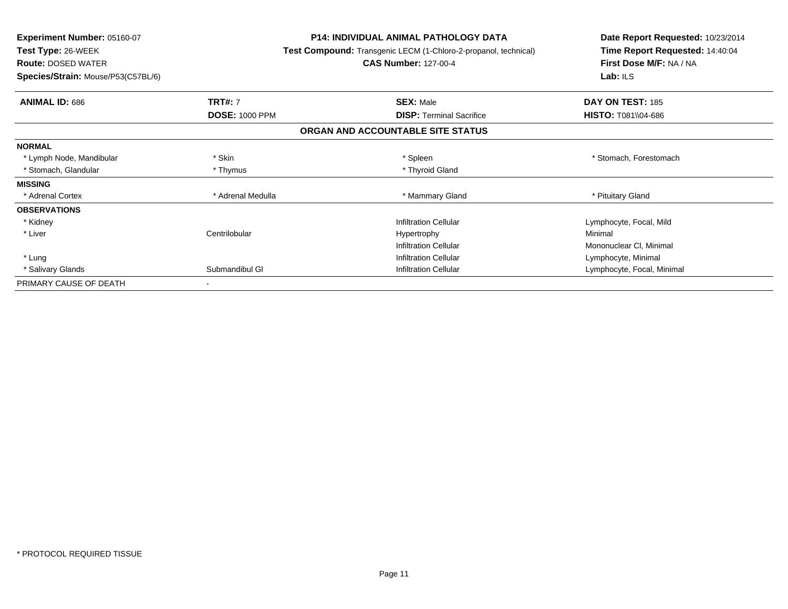| Experiment Number: 05160-07        | <b>P14: INDIVIDUAL ANIMAL PATHOLOGY DATA</b><br><b>Test Compound:</b> Transgenic LECM (1-Chloro-2-propanol, technical) |                                   | Date Report Requested: 10/23/2014 |
|------------------------------------|------------------------------------------------------------------------------------------------------------------------|-----------------------------------|-----------------------------------|
| Test Type: 26-WEEK                 |                                                                                                                        |                                   | Time Report Requested: 14:40:04   |
| <b>Route: DOSED WATER</b>          |                                                                                                                        | <b>CAS Number: 127-00-4</b>       | First Dose M/F: NA / NA           |
| Species/Strain: Mouse/P53(C57BL/6) |                                                                                                                        |                                   | Lab: $ILS$                        |
| <b>ANIMAL ID: 686</b>              | <b>TRT#: 7</b>                                                                                                         | <b>SEX: Male</b>                  | DAY ON TEST: 185                  |
|                                    | <b>DOSE: 1000 PPM</b>                                                                                                  | <b>DISP: Terminal Sacrifice</b>   | <b>HISTO: T081\\04-686</b>        |
|                                    |                                                                                                                        | ORGAN AND ACCOUNTABLE SITE STATUS |                                   |
| <b>NORMAL</b>                      |                                                                                                                        |                                   |                                   |
| * Lymph Node, Mandibular           | * Skin                                                                                                                 | * Spleen                          | * Stomach, Forestomach            |
| * Stomach, Glandular               | * Thymus                                                                                                               | * Thyroid Gland                   |                                   |
| <b>MISSING</b>                     |                                                                                                                        |                                   |                                   |
| * Adrenal Cortex                   | * Adrenal Medulla                                                                                                      | * Mammary Gland                   | * Pituitary Gland                 |
| <b>OBSERVATIONS</b>                |                                                                                                                        |                                   |                                   |
| * Kidney                           |                                                                                                                        | <b>Infiltration Cellular</b>      | Lymphocyte, Focal, Mild           |
| * Liver                            | Centrilobular                                                                                                          | Hypertrophy                       | Minimal                           |
|                                    |                                                                                                                        | <b>Infiltration Cellular</b>      | Mononuclear CI, Minimal           |
| * Lung                             |                                                                                                                        | <b>Infiltration Cellular</b>      | Lymphocyte, Minimal               |
| * Salivary Glands                  | Submandibul GI                                                                                                         | <b>Infiltration Cellular</b>      | Lymphocyte, Focal, Minimal        |
| PRIMARY CAUSE OF DEATH             |                                                                                                                        |                                   |                                   |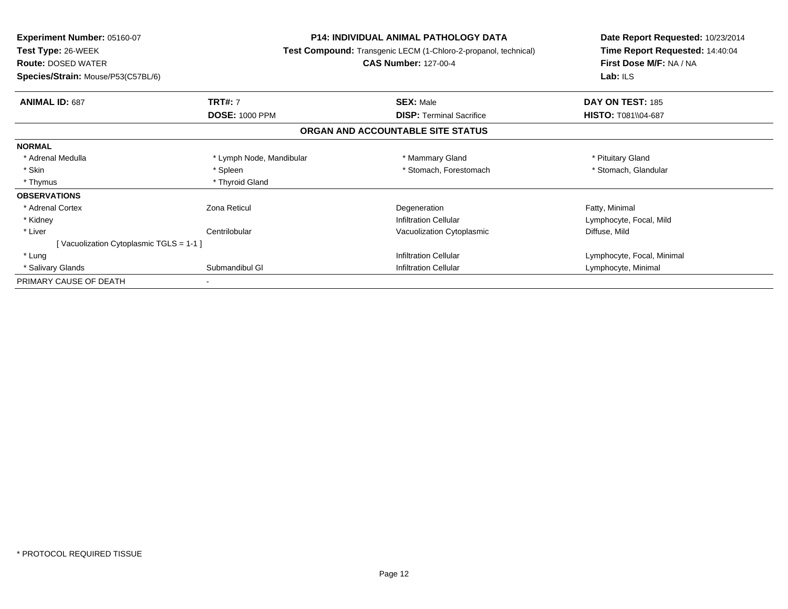| Experiment Number: 05160-07             | <b>P14: INDIVIDUAL ANIMAL PATHOLOGY DATA</b><br>Test Compound: Transgenic LECM (1-Chloro-2-propanol, technical) |                                   | Date Report Requested: 10/23/2014 |
|-----------------------------------------|-----------------------------------------------------------------------------------------------------------------|-----------------------------------|-----------------------------------|
| Test Type: 26-WEEK                      |                                                                                                                 |                                   | Time Report Requested: 14:40:04   |
| <b>Route: DOSED WATER</b>               |                                                                                                                 | <b>CAS Number: 127-00-4</b>       | First Dose M/F: NA / NA           |
| Species/Strain: Mouse/P53(C57BL/6)      |                                                                                                                 |                                   | Lab: ILS                          |
| <b>ANIMAL ID: 687</b>                   | <b>TRT#: 7</b>                                                                                                  | <b>SEX: Male</b>                  | DAY ON TEST: 185                  |
|                                         | <b>DOSE: 1000 PPM</b>                                                                                           | <b>DISP:</b> Terminal Sacrifice   | HISTO: T081\\04-687               |
|                                         |                                                                                                                 | ORGAN AND ACCOUNTABLE SITE STATUS |                                   |
| <b>NORMAL</b>                           |                                                                                                                 |                                   |                                   |
| * Adrenal Medulla                       | * Lymph Node, Mandibular                                                                                        | * Mammary Gland                   | * Pituitary Gland                 |
| * Skin                                  | * Spleen                                                                                                        | * Stomach, Forestomach            | * Stomach, Glandular              |
| * Thymus                                | * Thyroid Gland                                                                                                 |                                   |                                   |
| <b>OBSERVATIONS</b>                     |                                                                                                                 |                                   |                                   |
| * Adrenal Cortex                        | Zona Reticul                                                                                                    | Degeneration                      | Fatty, Minimal                    |
| * Kidney                                |                                                                                                                 | <b>Infiltration Cellular</b>      | Lymphocyte, Focal, Mild           |
| * Liver                                 | Centrilobular                                                                                                   | Vacuolization Cytoplasmic         | Diffuse, Mild                     |
| [Vacuolization Cytoplasmic TGLS = 1-1 ] |                                                                                                                 |                                   |                                   |
| * Lung                                  |                                                                                                                 | <b>Infiltration Cellular</b>      | Lymphocyte, Focal, Minimal        |
| * Salivary Glands                       | Submandibul GI                                                                                                  | <b>Infiltration Cellular</b>      | Lymphocyte, Minimal               |
| PRIMARY CAUSE OF DEATH                  |                                                                                                                 |                                   |                                   |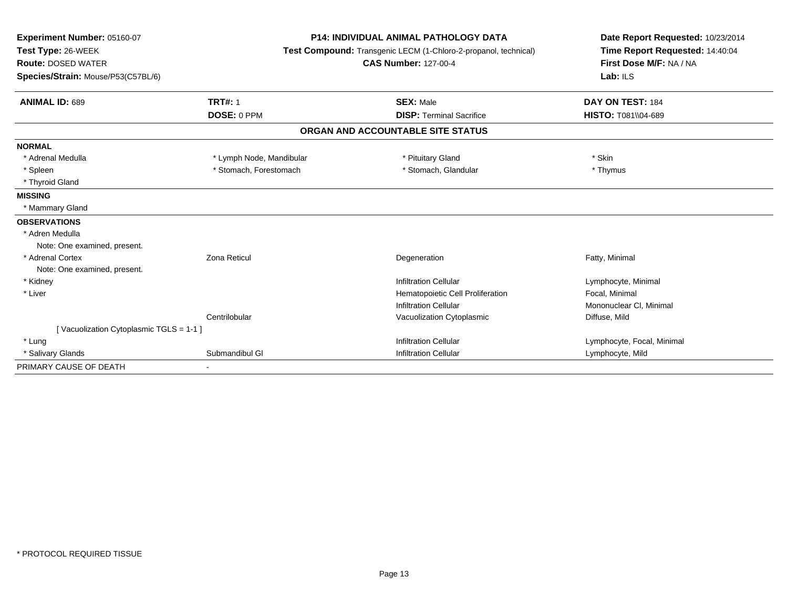| Experiment Number: 05160-07<br>Test Type: 26-WEEK<br><b>Route: DOSED WATER</b><br>Species/Strain: Mouse/P53(C57BL/6) | <b>P14: INDIVIDUAL ANIMAL PATHOLOGY DATA</b><br>Test Compound: Transgenic LECM (1-Chloro-2-propanol, technical)<br><b>CAS Number: 127-00-4</b> |                                   | Date Report Requested: 10/23/2014<br>Time Report Requested: 14:40:04<br>First Dose M/F: NA / NA<br>Lab: ILS |  |
|----------------------------------------------------------------------------------------------------------------------|------------------------------------------------------------------------------------------------------------------------------------------------|-----------------------------------|-------------------------------------------------------------------------------------------------------------|--|
| <b>ANIMAL ID: 689</b>                                                                                                | <b>TRT#: 1</b>                                                                                                                                 | <b>SEX: Male</b>                  | DAY ON TEST: 184                                                                                            |  |
|                                                                                                                      | DOSE: 0 PPM                                                                                                                                    | <b>DISP: Terminal Sacrifice</b>   | HISTO: T081\\04-689                                                                                         |  |
|                                                                                                                      |                                                                                                                                                | ORGAN AND ACCOUNTABLE SITE STATUS |                                                                                                             |  |
| <b>NORMAL</b>                                                                                                        |                                                                                                                                                |                                   |                                                                                                             |  |
| * Adrenal Medulla                                                                                                    | * Lymph Node, Mandibular                                                                                                                       | * Pituitary Gland                 | * Skin                                                                                                      |  |
| * Spleen                                                                                                             | * Stomach, Forestomach                                                                                                                         | * Stomach, Glandular              | * Thymus                                                                                                    |  |
| * Thyroid Gland                                                                                                      |                                                                                                                                                |                                   |                                                                                                             |  |
| <b>MISSING</b>                                                                                                       |                                                                                                                                                |                                   |                                                                                                             |  |
| * Mammary Gland                                                                                                      |                                                                                                                                                |                                   |                                                                                                             |  |
| <b>OBSERVATIONS</b>                                                                                                  |                                                                                                                                                |                                   |                                                                                                             |  |
| * Adren Medulla                                                                                                      |                                                                                                                                                |                                   |                                                                                                             |  |
| Note: One examined, present.                                                                                         |                                                                                                                                                |                                   |                                                                                                             |  |
| * Adrenal Cortex                                                                                                     | Zona Reticul                                                                                                                                   | Degeneration                      | Fatty, Minimal                                                                                              |  |
| Note: One examined, present.                                                                                         |                                                                                                                                                |                                   |                                                                                                             |  |
| * Kidney                                                                                                             |                                                                                                                                                | <b>Infiltration Cellular</b>      | Lymphocyte, Minimal                                                                                         |  |
| * Liver                                                                                                              |                                                                                                                                                | Hematopoietic Cell Proliferation  | Focal, Minimal                                                                                              |  |
|                                                                                                                      |                                                                                                                                                | <b>Infiltration Cellular</b>      | Mononuclear CI, Minimal                                                                                     |  |
|                                                                                                                      | Centrilobular                                                                                                                                  | Vacuolization Cytoplasmic         | Diffuse, Mild                                                                                               |  |
| [Vacuolization Cytoplasmic TGLS = 1-1 ]                                                                              |                                                                                                                                                |                                   |                                                                                                             |  |
| * Lung                                                                                                               |                                                                                                                                                | <b>Infiltration Cellular</b>      | Lymphocyte, Focal, Minimal                                                                                  |  |
| * Salivary Glands                                                                                                    | Submandibul GI                                                                                                                                 | <b>Infiltration Cellular</b>      | Lymphocyte, Mild                                                                                            |  |
| PRIMARY CAUSE OF DEATH                                                                                               | $\overline{\phantom{a}}$                                                                                                                       |                                   |                                                                                                             |  |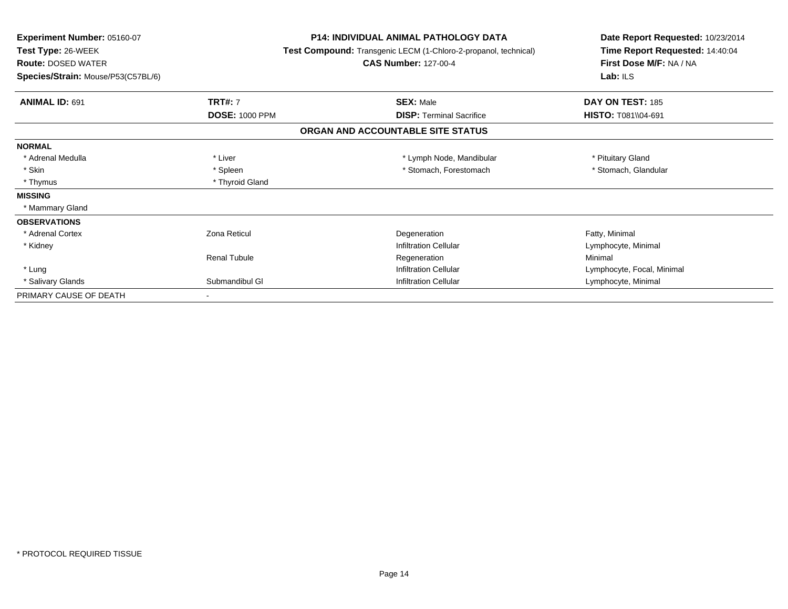| <b>Experiment Number: 05160-07</b><br>Test Type: 26-WEEK<br><b>Route: DOSED WATER</b><br>Species/Strain: Mouse/P53(C57BL/6) | <b>P14: INDIVIDUAL ANIMAL PATHOLOGY DATA</b><br>Test Compound: Transgenic LECM (1-Chloro-2-propanol, technical)<br><b>CAS Number: 127-00-4</b> |                                   | Date Report Requested: 10/23/2014<br>Time Report Requested: 14:40:04<br>First Dose M/F: NA / NA<br>Lab: $ILS$ |
|-----------------------------------------------------------------------------------------------------------------------------|------------------------------------------------------------------------------------------------------------------------------------------------|-----------------------------------|---------------------------------------------------------------------------------------------------------------|
| <b>ANIMAL ID: 691</b>                                                                                                       | <b>TRT#: 7</b>                                                                                                                                 | <b>SEX: Male</b>                  | DAY ON TEST: 185                                                                                              |
|                                                                                                                             | <b>DOSE: 1000 PPM</b>                                                                                                                          | <b>DISP:</b> Terminal Sacrifice   | <b>HISTO: T081\\04-691</b>                                                                                    |
|                                                                                                                             |                                                                                                                                                | ORGAN AND ACCOUNTABLE SITE STATUS |                                                                                                               |
| <b>NORMAL</b>                                                                                                               |                                                                                                                                                |                                   |                                                                                                               |
| * Adrenal Medulla                                                                                                           | * Liver                                                                                                                                        | * Lymph Node, Mandibular          | * Pituitary Gland                                                                                             |
| * Skin                                                                                                                      | * Spleen                                                                                                                                       | * Stomach, Forestomach            | * Stomach, Glandular                                                                                          |
| * Thymus                                                                                                                    | * Thyroid Gland                                                                                                                                |                                   |                                                                                                               |
| <b>MISSING</b>                                                                                                              |                                                                                                                                                |                                   |                                                                                                               |
| * Mammary Gland                                                                                                             |                                                                                                                                                |                                   |                                                                                                               |
| <b>OBSERVATIONS</b>                                                                                                         |                                                                                                                                                |                                   |                                                                                                               |
| * Adrenal Cortex                                                                                                            | Zona Reticul                                                                                                                                   | Degeneration                      | Fatty, Minimal                                                                                                |
| * Kidney                                                                                                                    |                                                                                                                                                | <b>Infiltration Cellular</b>      | Lymphocyte, Minimal                                                                                           |
|                                                                                                                             | <b>Renal Tubule</b>                                                                                                                            | Regeneration                      | Minimal                                                                                                       |
| * Lung                                                                                                                      |                                                                                                                                                | <b>Infiltration Cellular</b>      | Lymphocyte, Focal, Minimal                                                                                    |
| * Salivary Glands                                                                                                           | Submandibul GI                                                                                                                                 | <b>Infiltration Cellular</b>      | Lymphocyte, Minimal                                                                                           |
| PRIMARY CAUSE OF DEATH                                                                                                      |                                                                                                                                                |                                   |                                                                                                               |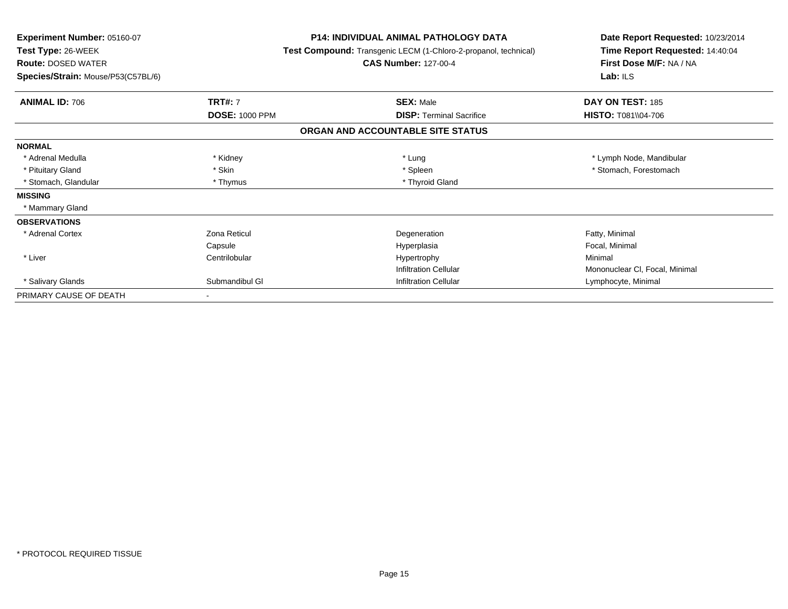| Experiment Number: 05160-07<br>Test Type: 26-WEEK | <b>P14: INDIVIDUAL ANIMAL PATHOLOGY DATA</b><br>Test Compound: Transgenic LECM (1-Chloro-2-propanol, technical)<br><b>Route: DOSED WATER</b><br><b>CAS Number: 127-00-4</b> |                                   | Date Report Requested: 10/23/2014<br>Time Report Requested: 14:40:04 |  |
|---------------------------------------------------|-----------------------------------------------------------------------------------------------------------------------------------------------------------------------------|-----------------------------------|----------------------------------------------------------------------|--|
| Species/Strain: Mouse/P53(C57BL/6)                |                                                                                                                                                                             |                                   | First Dose M/F: NA / NA<br>Lab: $ILS$                                |  |
| <b>ANIMAL ID: 706</b>                             | <b>TRT#: 7</b>                                                                                                                                                              | <b>SEX: Male</b>                  | DAY ON TEST: 185                                                     |  |
|                                                   | <b>DOSE: 1000 PPM</b>                                                                                                                                                       | <b>DISP: Terminal Sacrifice</b>   | <b>HISTO: T081\\04-706</b>                                           |  |
|                                                   |                                                                                                                                                                             | ORGAN AND ACCOUNTABLE SITE STATUS |                                                                      |  |
| <b>NORMAL</b>                                     |                                                                                                                                                                             |                                   |                                                                      |  |
| * Adrenal Medulla                                 | * Kidney                                                                                                                                                                    | * Lung                            | * Lymph Node, Mandibular                                             |  |
| * Pituitary Gland                                 | * Skin                                                                                                                                                                      | * Spleen                          | * Stomach, Forestomach                                               |  |
| * Stomach, Glandular                              | * Thymus                                                                                                                                                                    | * Thyroid Gland                   |                                                                      |  |
| <b>MISSING</b>                                    |                                                                                                                                                                             |                                   |                                                                      |  |
| * Mammary Gland                                   |                                                                                                                                                                             |                                   |                                                                      |  |
| <b>OBSERVATIONS</b>                               |                                                                                                                                                                             |                                   |                                                                      |  |
| * Adrenal Cortex                                  | Zona Reticul                                                                                                                                                                | Degeneration                      | Fatty, Minimal                                                       |  |
|                                                   | Capsule                                                                                                                                                                     | Hyperplasia                       | Focal, Minimal                                                       |  |
| * Liver                                           | Centrilobular                                                                                                                                                               | Hypertrophy                       | Minimal                                                              |  |
|                                                   |                                                                                                                                                                             | <b>Infiltration Cellular</b>      | Mononuclear CI, Focal, Minimal                                       |  |
| * Salivary Glands                                 | Submandibul GI                                                                                                                                                              | <b>Infiltration Cellular</b>      | Lymphocyte, Minimal                                                  |  |
| PRIMARY CAUSE OF DEATH                            | $\overline{\phantom{a}}$                                                                                                                                                    |                                   |                                                                      |  |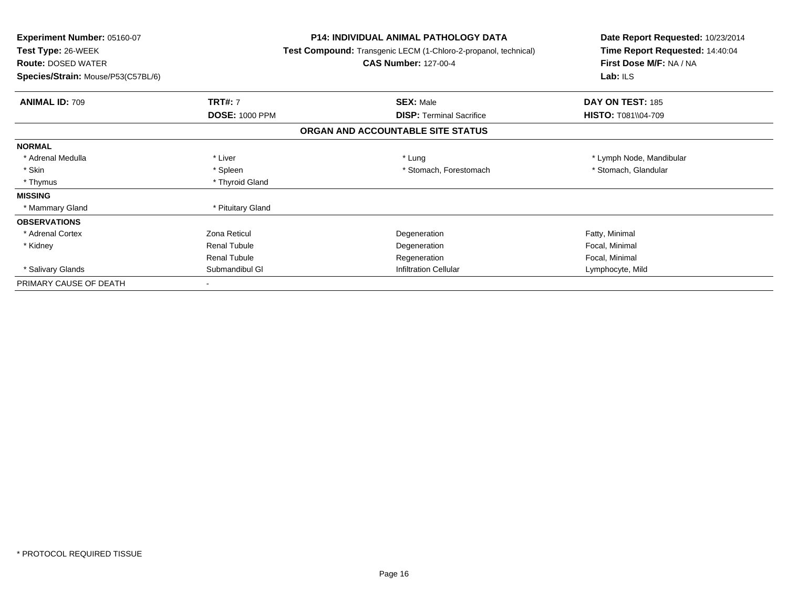| <b>Experiment Number: 05160-07</b> | <b>P14: INDIVIDUAL ANIMAL PATHOLOGY DATA</b><br>Test Compound: Transgenic LECM (1-Chloro-2-propanol, technical) |                                   | Date Report Requested: 10/23/2014<br>Time Report Requested: 14:40:04 |  |
|------------------------------------|-----------------------------------------------------------------------------------------------------------------|-----------------------------------|----------------------------------------------------------------------|--|
| Test Type: 26-WEEK                 |                                                                                                                 |                                   |                                                                      |  |
| <b>Route: DOSED WATER</b>          |                                                                                                                 | <b>CAS Number: 127-00-4</b>       | First Dose M/F: NA / NA                                              |  |
| Species/Strain: Mouse/P53(C57BL/6) |                                                                                                                 |                                   | Lab: ILS                                                             |  |
| <b>ANIMAL ID: 709</b>              | <b>TRT#: 7</b>                                                                                                  | <b>SEX: Male</b>                  | DAY ON TEST: 185                                                     |  |
|                                    | <b>DOSE: 1000 PPM</b>                                                                                           | <b>DISP: Terminal Sacrifice</b>   | <b>HISTO: T081\\04-709</b>                                           |  |
|                                    |                                                                                                                 | ORGAN AND ACCOUNTABLE SITE STATUS |                                                                      |  |
| <b>NORMAL</b>                      |                                                                                                                 |                                   |                                                                      |  |
| * Adrenal Medulla                  | * Liver                                                                                                         | * Lung                            | * Lymph Node, Mandibular                                             |  |
| * Skin                             | * Spleen                                                                                                        | * Stomach, Forestomach            | * Stomach, Glandular                                                 |  |
| * Thymus                           | * Thyroid Gland                                                                                                 |                                   |                                                                      |  |
| <b>MISSING</b>                     |                                                                                                                 |                                   |                                                                      |  |
| * Mammary Gland                    | * Pituitary Gland                                                                                               |                                   |                                                                      |  |
| <b>OBSERVATIONS</b>                |                                                                                                                 |                                   |                                                                      |  |
| * Adrenal Cortex                   | Zona Reticul                                                                                                    | Degeneration                      | Fatty, Minimal                                                       |  |
| * Kidney                           | <b>Renal Tubule</b>                                                                                             | Degeneration                      | Focal, Minimal                                                       |  |
|                                    | <b>Renal Tubule</b>                                                                                             | Regeneration                      | Focal, Minimal                                                       |  |
| * Salivary Glands                  | Submandibul GI                                                                                                  | <b>Infiltration Cellular</b>      | Lymphocyte, Mild                                                     |  |
| PRIMARY CAUSE OF DEATH             |                                                                                                                 |                                   |                                                                      |  |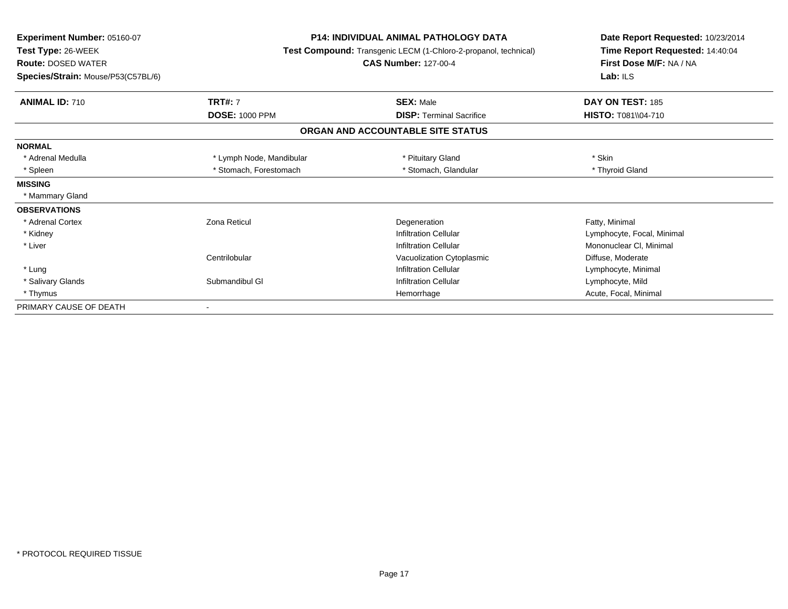| Experiment Number: 05160-07<br>Test Type: 26-WEEK<br><b>Route: DOSED WATER</b><br>Species/Strain: Mouse/P53(C57BL/6) | <b>P14: INDIVIDUAL ANIMAL PATHOLOGY DATA</b><br>Test Compound: Transgenic LECM (1-Chloro-2-propanol, technical)<br><b>CAS Number: 127-00-4</b> |                                   | Date Report Requested: 10/23/2014<br>Time Report Requested: 14:40:04<br>First Dose M/F: NA / NA<br>Lab: $ILS$ |
|----------------------------------------------------------------------------------------------------------------------|------------------------------------------------------------------------------------------------------------------------------------------------|-----------------------------------|---------------------------------------------------------------------------------------------------------------|
| <b>ANIMAL ID: 710</b>                                                                                                | <b>TRT#: 7</b>                                                                                                                                 | <b>SEX: Male</b>                  | DAY ON TEST: 185                                                                                              |
|                                                                                                                      | <b>DOSE: 1000 PPM</b>                                                                                                                          | <b>DISP: Terminal Sacrifice</b>   | HISTO: T081\\04-710                                                                                           |
|                                                                                                                      |                                                                                                                                                | ORGAN AND ACCOUNTABLE SITE STATUS |                                                                                                               |
| <b>NORMAL</b>                                                                                                        |                                                                                                                                                |                                   |                                                                                                               |
| * Adrenal Medulla                                                                                                    | * Lymph Node, Mandibular                                                                                                                       | * Pituitary Gland                 | * Skin                                                                                                        |
| * Spleen                                                                                                             | * Stomach, Forestomach                                                                                                                         | * Stomach, Glandular              | * Thyroid Gland                                                                                               |
| <b>MISSING</b>                                                                                                       |                                                                                                                                                |                                   |                                                                                                               |
| * Mammary Gland                                                                                                      |                                                                                                                                                |                                   |                                                                                                               |
| <b>OBSERVATIONS</b>                                                                                                  |                                                                                                                                                |                                   |                                                                                                               |
| * Adrenal Cortex                                                                                                     | Zona Reticul                                                                                                                                   | Degeneration                      | Fatty, Minimal                                                                                                |
| * Kidney                                                                                                             |                                                                                                                                                | <b>Infiltration Cellular</b>      | Lymphocyte, Focal, Minimal                                                                                    |
| * Liver                                                                                                              |                                                                                                                                                | <b>Infiltration Cellular</b>      | Mononuclear CI, Minimal                                                                                       |
|                                                                                                                      | Centrilobular                                                                                                                                  | Vacuolization Cytoplasmic         | Diffuse, Moderate                                                                                             |
| * Lung                                                                                                               |                                                                                                                                                | <b>Infiltration Cellular</b>      | Lymphocyte, Minimal                                                                                           |
| * Salivary Glands                                                                                                    | Submandibul GI                                                                                                                                 | <b>Infiltration Cellular</b>      | Lymphocyte, Mild                                                                                              |
| * Thymus                                                                                                             |                                                                                                                                                | Hemorrhage                        | Acute, Focal, Minimal                                                                                         |
| PRIMARY CAUSE OF DEATH                                                                                               |                                                                                                                                                |                                   |                                                                                                               |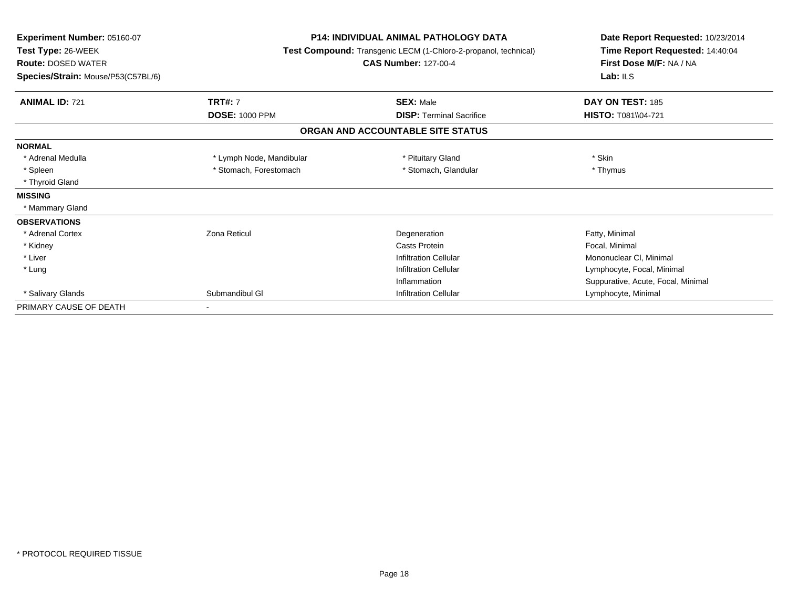| Experiment Number: 05160-07<br>Test Type: 26-WEEK<br><b>Route: DOSED WATER</b><br>Species/Strain: Mouse/P53(C57BL/6) | <b>P14: INDIVIDUAL ANIMAL PATHOLOGY DATA</b><br>Test Compound: Transgenic LECM (1-Chloro-2-propanol, technical)<br><b>CAS Number: 127-00-4</b> |                                   | Date Report Requested: 10/23/2014<br>Time Report Requested: 14:40:04<br>First Dose M/F: NA / NA<br>Lab: ILS |
|----------------------------------------------------------------------------------------------------------------------|------------------------------------------------------------------------------------------------------------------------------------------------|-----------------------------------|-------------------------------------------------------------------------------------------------------------|
| <b>ANIMAL ID: 721</b>                                                                                                | <b>TRT#: 7</b>                                                                                                                                 | <b>SEX: Male</b>                  | DAY ON TEST: 185                                                                                            |
|                                                                                                                      | <b>DOSE: 1000 PPM</b>                                                                                                                          | <b>DISP:</b> Terminal Sacrifice   | HISTO: T081\\04-721                                                                                         |
|                                                                                                                      |                                                                                                                                                | ORGAN AND ACCOUNTABLE SITE STATUS |                                                                                                             |
| <b>NORMAL</b>                                                                                                        |                                                                                                                                                |                                   |                                                                                                             |
| * Adrenal Medulla                                                                                                    | * Lymph Node, Mandibular                                                                                                                       | * Pituitary Gland                 | * Skin                                                                                                      |
| * Spleen                                                                                                             | * Stomach, Forestomach                                                                                                                         | * Stomach, Glandular              | * Thymus                                                                                                    |
| * Thyroid Gland                                                                                                      |                                                                                                                                                |                                   |                                                                                                             |
| <b>MISSING</b>                                                                                                       |                                                                                                                                                |                                   |                                                                                                             |
| * Mammary Gland                                                                                                      |                                                                                                                                                |                                   |                                                                                                             |
| <b>OBSERVATIONS</b>                                                                                                  |                                                                                                                                                |                                   |                                                                                                             |
| * Adrenal Cortex                                                                                                     | Zona Reticul                                                                                                                                   | Degeneration                      | Fatty, Minimal                                                                                              |
| * Kidney                                                                                                             |                                                                                                                                                | <b>Casts Protein</b>              | Focal, Minimal                                                                                              |
| * Liver                                                                                                              |                                                                                                                                                | <b>Infiltration Cellular</b>      | Mononuclear CI, Minimal                                                                                     |
| * Lung                                                                                                               |                                                                                                                                                | <b>Infiltration Cellular</b>      | Lymphocyte, Focal, Minimal                                                                                  |
|                                                                                                                      |                                                                                                                                                | Inflammation                      | Suppurative, Acute, Focal, Minimal                                                                          |
| * Salivary Glands                                                                                                    | Submandibul GI                                                                                                                                 | <b>Infiltration Cellular</b>      | Lymphocyte, Minimal                                                                                         |
| PRIMARY CAUSE OF DEATH                                                                                               |                                                                                                                                                |                                   |                                                                                                             |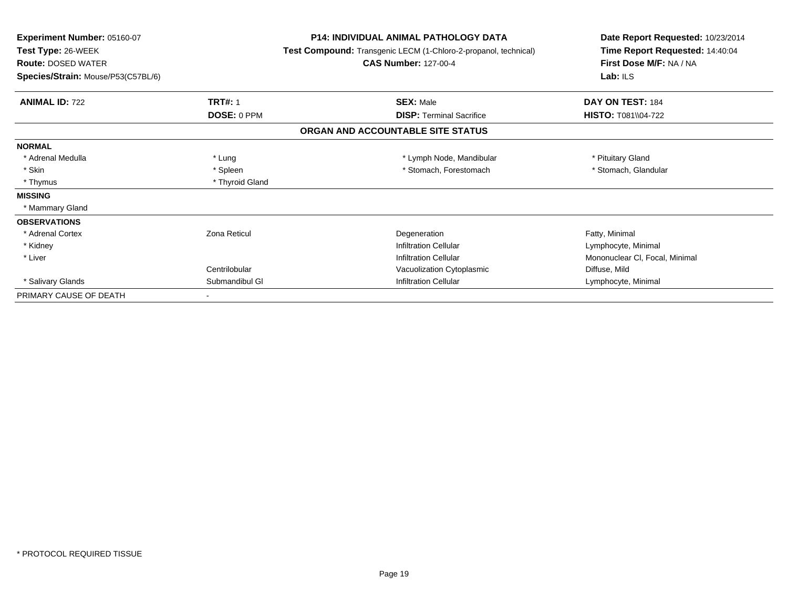| <b>Experiment Number: 05160-07</b><br>Test Type: 26-WEEK<br><b>Route: DOSED WATER</b><br><b>Species/Strain: Mouse/P53(C57BL/6)</b> | <b>P14: INDIVIDUAL ANIMAL PATHOLOGY DATA</b><br><b>Test Compound:</b> Transgenic LECM (1-Chloro-2-propanol, technical)<br><b>CAS Number: 127-00-4</b> |                                   | Date Report Requested: 10/23/2014<br>Time Report Requested: 14:40:04<br>First Dose M/F: NA / NA<br>Lab: $ILS$ |
|------------------------------------------------------------------------------------------------------------------------------------|-------------------------------------------------------------------------------------------------------------------------------------------------------|-----------------------------------|---------------------------------------------------------------------------------------------------------------|
| <b>ANIMAL ID: 722</b>                                                                                                              | <b>TRT#: 1</b>                                                                                                                                        | <b>SEX: Male</b>                  | DAY ON TEST: 184                                                                                              |
|                                                                                                                                    | DOSE: 0 PPM                                                                                                                                           | <b>DISP:</b> Terminal Sacrifice   | <b>HISTO: T081\\04-722</b>                                                                                    |
|                                                                                                                                    |                                                                                                                                                       | ORGAN AND ACCOUNTABLE SITE STATUS |                                                                                                               |
| <b>NORMAL</b>                                                                                                                      |                                                                                                                                                       |                                   |                                                                                                               |
| * Adrenal Medulla                                                                                                                  | * Lung                                                                                                                                                | * Lymph Node, Mandibular          | * Pituitary Gland                                                                                             |
| * Skin                                                                                                                             | * Spleen                                                                                                                                              | * Stomach, Forestomach            | * Stomach, Glandular                                                                                          |
| * Thymus                                                                                                                           | * Thyroid Gland                                                                                                                                       |                                   |                                                                                                               |
| <b>MISSING</b>                                                                                                                     |                                                                                                                                                       |                                   |                                                                                                               |
| * Mammary Gland                                                                                                                    |                                                                                                                                                       |                                   |                                                                                                               |
| <b>OBSERVATIONS</b>                                                                                                                |                                                                                                                                                       |                                   |                                                                                                               |
| * Adrenal Cortex                                                                                                                   | <b>Zona Reticul</b>                                                                                                                                   | Degeneration                      | Fatty, Minimal                                                                                                |
| * Kidney                                                                                                                           |                                                                                                                                                       | <b>Infiltration Cellular</b>      | Lymphocyte, Minimal                                                                                           |
| * Liver                                                                                                                            |                                                                                                                                                       | <b>Infiltration Cellular</b>      | Mononuclear CI, Focal, Minimal                                                                                |
|                                                                                                                                    | Centrilobular                                                                                                                                         | Vacuolization Cytoplasmic         | Diffuse, Mild                                                                                                 |
| * Salivary Glands                                                                                                                  | Submandibul GI                                                                                                                                        | <b>Infiltration Cellular</b>      | Lymphocyte, Minimal                                                                                           |
| PRIMARY CAUSE OF DEATH                                                                                                             |                                                                                                                                                       |                                   |                                                                                                               |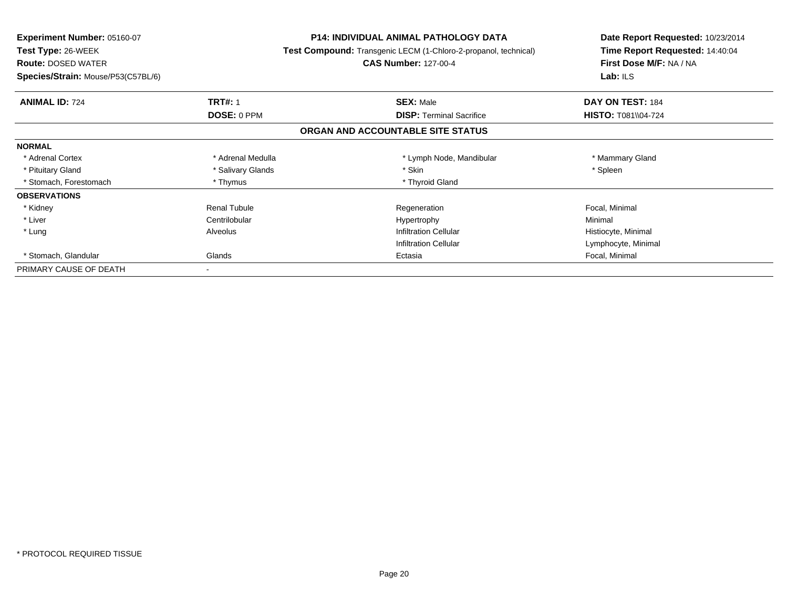| <b>Experiment Number: 05160-07</b> | P14: INDIVIDUAL ANIMAL PATHOLOGY DATA<br><b>Test Compound:</b> Transgenic LECM (1-Chloro-2-propanol, technical) |                                   | Date Report Requested: 10/23/2014 |
|------------------------------------|-----------------------------------------------------------------------------------------------------------------|-----------------------------------|-----------------------------------|
| Test Type: 26-WEEK                 |                                                                                                                 |                                   | Time Report Requested: 14:40:04   |
| <b>Route: DOSED WATER</b>          |                                                                                                                 | <b>CAS Number: 127-00-4</b>       | First Dose M/F: NA / NA           |
| Species/Strain: Mouse/P53(C57BL/6) |                                                                                                                 |                                   | Lab: ILS                          |
| <b>ANIMAL ID: 724</b>              | <b>TRT#: 1</b>                                                                                                  | <b>SEX: Male</b>                  | DAY ON TEST: 184                  |
|                                    | DOSE: 0 PPM                                                                                                     | <b>DISP:</b> Terminal Sacrifice   | <b>HISTO: T081\\04-724</b>        |
|                                    |                                                                                                                 | ORGAN AND ACCOUNTABLE SITE STATUS |                                   |
| <b>NORMAL</b>                      |                                                                                                                 |                                   |                                   |
| * Adrenal Cortex                   | * Adrenal Medulla                                                                                               | * Lymph Node, Mandibular          | * Mammary Gland                   |
| * Pituitary Gland                  | * Salivary Glands                                                                                               | * Skin                            | * Spleen                          |
| * Stomach, Forestomach             | * Thymus                                                                                                        | * Thyroid Gland                   |                                   |
| <b>OBSERVATIONS</b>                |                                                                                                                 |                                   |                                   |
| * Kidney                           | <b>Renal Tubule</b>                                                                                             | Regeneration                      | Focal, Minimal                    |
| * Liver                            | Centrilobular                                                                                                   | Hypertrophy                       | Minimal                           |
| * Lung                             | Alveolus                                                                                                        | <b>Infiltration Cellular</b>      | Histiocyte, Minimal               |
|                                    |                                                                                                                 | <b>Infiltration Cellular</b>      | Lymphocyte, Minimal               |
| * Stomach, Glandular               | Glands                                                                                                          | Ectasia                           | Focal, Minimal                    |
| PRIMARY CAUSE OF DEATH             |                                                                                                                 |                                   |                                   |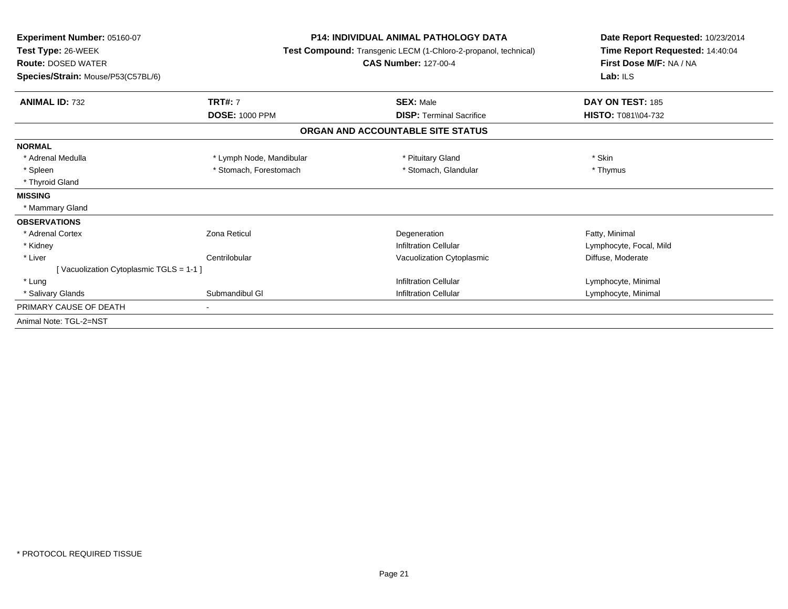| Experiment Number: 05160-07<br>Test Type: 26-WEEK<br><b>Route: DOSED WATER</b><br>Species/Strain: Mouse/P53(C57BL/6) | <b>P14: INDIVIDUAL ANIMAL PATHOLOGY DATA</b><br>Test Compound: Transgenic LECM (1-Chloro-2-propanol, technical)<br><b>CAS Number: 127-00-4</b> |                                   | Date Report Requested: 10/23/2014<br>Time Report Requested: 14:40:04<br>First Dose M/F: NA / NA<br>Lab: $ILS$ |
|----------------------------------------------------------------------------------------------------------------------|------------------------------------------------------------------------------------------------------------------------------------------------|-----------------------------------|---------------------------------------------------------------------------------------------------------------|
| <b>ANIMAL ID: 732</b>                                                                                                | <b>TRT#: 7</b>                                                                                                                                 | <b>SEX: Male</b>                  | DAY ON TEST: 185                                                                                              |
|                                                                                                                      | <b>DOSE: 1000 PPM</b>                                                                                                                          | <b>DISP: Terminal Sacrifice</b>   | <b>HISTO: T081\\04-732</b>                                                                                    |
|                                                                                                                      |                                                                                                                                                | ORGAN AND ACCOUNTABLE SITE STATUS |                                                                                                               |
| <b>NORMAL</b>                                                                                                        |                                                                                                                                                |                                   |                                                                                                               |
| * Adrenal Medulla                                                                                                    | * Lymph Node, Mandibular                                                                                                                       | * Pituitary Gland                 | * Skin                                                                                                        |
| * Spleen                                                                                                             | * Stomach. Forestomach                                                                                                                         | * Stomach, Glandular              | * Thymus                                                                                                      |
| * Thyroid Gland                                                                                                      |                                                                                                                                                |                                   |                                                                                                               |
| <b>MISSING</b>                                                                                                       |                                                                                                                                                |                                   |                                                                                                               |
| * Mammary Gland                                                                                                      |                                                                                                                                                |                                   |                                                                                                               |
| <b>OBSERVATIONS</b>                                                                                                  |                                                                                                                                                |                                   |                                                                                                               |
| * Adrenal Cortex                                                                                                     | <b>Zona Reticul</b>                                                                                                                            | Degeneration                      | Fatty, Minimal                                                                                                |
| * Kidney                                                                                                             |                                                                                                                                                | <b>Infiltration Cellular</b>      | Lymphocyte, Focal, Mild                                                                                       |
| * Liver                                                                                                              | Centrilobular                                                                                                                                  | Vacuolization Cytoplasmic         | Diffuse, Moderate                                                                                             |
| [Vacuolization Cytoplasmic TGLS = 1-1 ]                                                                              |                                                                                                                                                |                                   |                                                                                                               |
| * Lung                                                                                                               |                                                                                                                                                | <b>Infiltration Cellular</b>      | Lymphocyte, Minimal                                                                                           |
| * Salivary Glands                                                                                                    | Submandibul GI                                                                                                                                 | <b>Infiltration Cellular</b>      | Lymphocyte, Minimal                                                                                           |
| PRIMARY CAUSE OF DEATH                                                                                               |                                                                                                                                                |                                   |                                                                                                               |
| Animal Note: TGL-2=NST                                                                                               |                                                                                                                                                |                                   |                                                                                                               |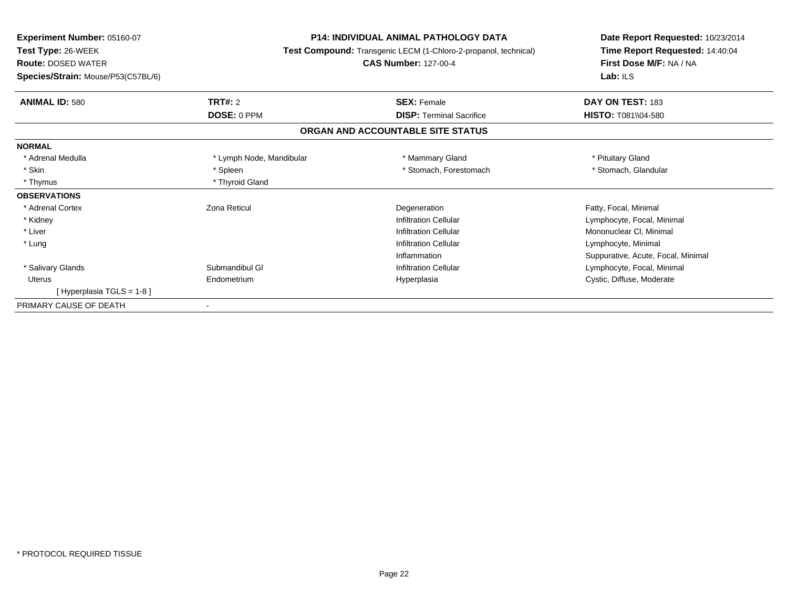| Experiment Number: 05160-07        |                          | <b>P14: INDIVIDUAL ANIMAL PATHOLOGY DATA</b>                           | Date Report Requested: 10/23/2014<br>Time Report Requested: 14:40:04 |
|------------------------------------|--------------------------|------------------------------------------------------------------------|----------------------------------------------------------------------|
| Test Type: 26-WEEK                 |                          | <b>Test Compound:</b> Transgenic LECM (1-Chloro-2-propanol, technical) |                                                                      |
| <b>Route: DOSED WATER</b>          |                          | <b>CAS Number: 127-00-4</b>                                            | First Dose M/F: NA / NA                                              |
| Species/Strain: Mouse/P53(C57BL/6) |                          |                                                                        | Lab: $ILS$                                                           |
| <b>ANIMAL ID: 580</b>              | TRT#: 2                  | <b>SEX: Female</b>                                                     | DAY ON TEST: 183                                                     |
|                                    | DOSE: 0 PPM              | <b>DISP:</b> Terminal Sacrifice                                        | <b>HISTO: T081\\04-580</b>                                           |
|                                    |                          | ORGAN AND ACCOUNTABLE SITE STATUS                                      |                                                                      |
| <b>NORMAL</b>                      |                          |                                                                        |                                                                      |
| * Adrenal Medulla                  | * Lymph Node, Mandibular | * Mammary Gland                                                        | * Pituitary Gland                                                    |
| * Skin                             | * Spleen                 | * Stomach, Forestomach                                                 | * Stomach, Glandular                                                 |
| * Thymus                           | * Thyroid Gland          |                                                                        |                                                                      |
| <b>OBSERVATIONS</b>                |                          |                                                                        |                                                                      |
| * Adrenal Cortex                   | Zona Reticul             | Degeneration                                                           | Fatty, Focal, Minimal                                                |
| * Kidney                           |                          | <b>Infiltration Cellular</b>                                           | Lymphocyte, Focal, Minimal                                           |
| * Liver                            |                          | <b>Infiltration Cellular</b>                                           | Mononuclear CI, Minimal                                              |
| * Lung                             |                          | <b>Infiltration Cellular</b>                                           | Lymphocyte, Minimal                                                  |
|                                    |                          | Inflammation                                                           | Suppurative, Acute, Focal, Minimal                                   |
| * Salivary Glands                  | Submandibul GI           | <b>Infiltration Cellular</b>                                           | Lymphocyte, Focal, Minimal                                           |
| Uterus                             | Endometrium              | Hyperplasia                                                            | Cystic, Diffuse, Moderate                                            |
| [ Hyperplasia TGLS = 1-8 ]         |                          |                                                                        |                                                                      |
| PRIMARY CAUSE OF DEATH             |                          |                                                                        |                                                                      |
|                                    |                          |                                                                        |                                                                      |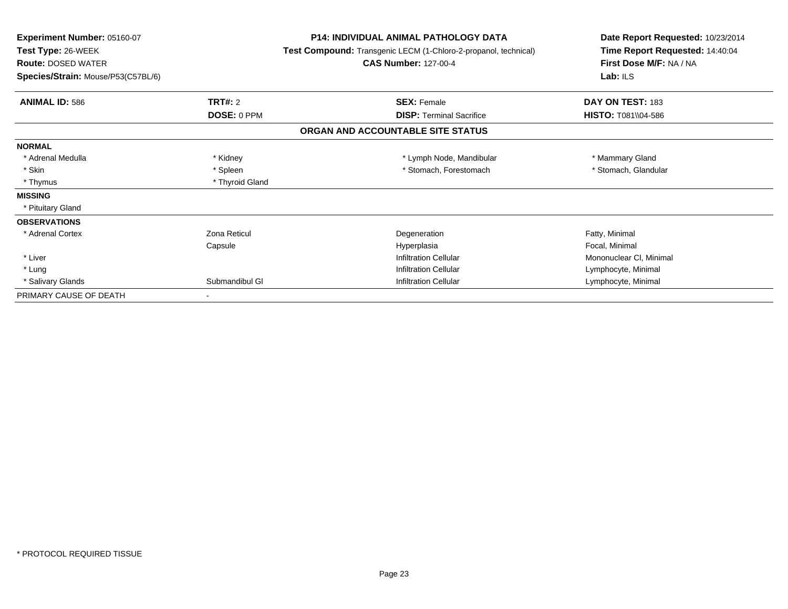| Experiment Number: 05160-07<br>Test Type: 26-WEEK<br><b>Route: DOSED WATER</b><br>Species/Strain: Mouse/P53(C57BL/6) | <b>P14: INDIVIDUAL ANIMAL PATHOLOGY DATA</b><br>Test Compound: Transgenic LECM (1-Chloro-2-propanol, technical)<br><b>CAS Number: 127-00-4</b> |                                   | Date Report Requested: 10/23/2014<br>Time Report Requested: 14:40:04<br>First Dose M/F: NA / NA<br>Lab: ILS |
|----------------------------------------------------------------------------------------------------------------------|------------------------------------------------------------------------------------------------------------------------------------------------|-----------------------------------|-------------------------------------------------------------------------------------------------------------|
| <b>ANIMAL ID: 586</b>                                                                                                | <b>TRT#: 2</b>                                                                                                                                 | <b>SEX: Female</b>                | DAY ON TEST: 183                                                                                            |
|                                                                                                                      | DOSE: 0 PPM                                                                                                                                    | <b>DISP:</b> Terminal Sacrifice   | <b>HISTO: T081\\04-586</b>                                                                                  |
|                                                                                                                      |                                                                                                                                                | ORGAN AND ACCOUNTABLE SITE STATUS |                                                                                                             |
| <b>NORMAL</b>                                                                                                        |                                                                                                                                                |                                   |                                                                                                             |
| * Adrenal Medulla                                                                                                    | * Kidney                                                                                                                                       | * Lymph Node, Mandibular          | * Mammary Gland                                                                                             |
| * Skin                                                                                                               | * Spleen                                                                                                                                       | * Stomach, Forestomach            | * Stomach, Glandular                                                                                        |
| * Thymus                                                                                                             | * Thyroid Gland                                                                                                                                |                                   |                                                                                                             |
| <b>MISSING</b>                                                                                                       |                                                                                                                                                |                                   |                                                                                                             |
| * Pituitary Gland                                                                                                    |                                                                                                                                                |                                   |                                                                                                             |
| <b>OBSERVATIONS</b>                                                                                                  |                                                                                                                                                |                                   |                                                                                                             |
| * Adrenal Cortex                                                                                                     | Zona Reticul                                                                                                                                   | Degeneration                      | Fatty, Minimal                                                                                              |
|                                                                                                                      | Capsule                                                                                                                                        | Hyperplasia                       | Focal, Minimal                                                                                              |
| * Liver                                                                                                              |                                                                                                                                                | <b>Infiltration Cellular</b>      | Mononuclear CI, Minimal                                                                                     |
| * Lung                                                                                                               |                                                                                                                                                | <b>Infiltration Cellular</b>      | Lymphocyte, Minimal                                                                                         |
| * Salivary Glands                                                                                                    | Submandibul GI                                                                                                                                 | <b>Infiltration Cellular</b>      | Lymphocyte, Minimal                                                                                         |
| PRIMARY CAUSE OF DEATH                                                                                               |                                                                                                                                                |                                   |                                                                                                             |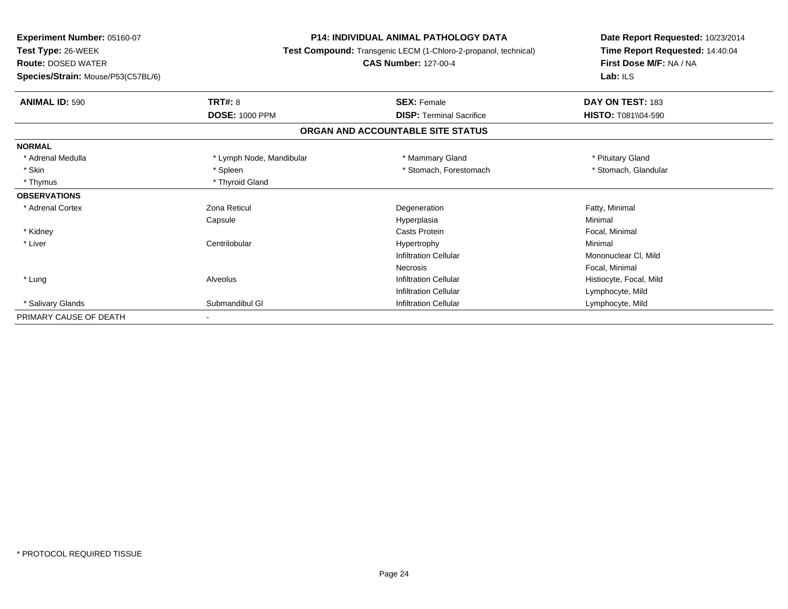| Experiment Number: 05160-07        | <b>P14: INDIVIDUAL ANIMAL PATHOLOGY DATA</b>                    |                                   | Date Report Requested: 10/23/2014<br>Time Report Requested: 14:40:04 |
|------------------------------------|-----------------------------------------------------------------|-----------------------------------|----------------------------------------------------------------------|
| Test Type: 26-WEEK                 | Test Compound: Transgenic LECM (1-Chloro-2-propanol, technical) |                                   |                                                                      |
| <b>Route: DOSED WATER</b>          |                                                                 | <b>CAS Number: 127-00-4</b>       | First Dose M/F: NA / NA                                              |
| Species/Strain: Mouse/P53(C57BL/6) |                                                                 |                                   | Lab: $ILS$                                                           |
| <b>ANIMAL ID: 590</b>              | <b>TRT#: 8</b>                                                  | <b>SEX: Female</b>                | DAY ON TEST: 183                                                     |
|                                    | <b>DOSE: 1000 PPM</b>                                           | <b>DISP: Terminal Sacrifice</b>   | <b>HISTO: T081\\04-590</b>                                           |
|                                    |                                                                 | ORGAN AND ACCOUNTABLE SITE STATUS |                                                                      |
| <b>NORMAL</b>                      |                                                                 |                                   |                                                                      |
| * Adrenal Medulla                  | * Lymph Node, Mandibular                                        | * Mammary Gland                   | * Pituitary Gland                                                    |
| * Skin                             | * Spleen                                                        | * Stomach, Forestomach            | * Stomach, Glandular                                                 |
| * Thymus                           | * Thyroid Gland                                                 |                                   |                                                                      |
| <b>OBSERVATIONS</b>                |                                                                 |                                   |                                                                      |
| * Adrenal Cortex                   | Zona Reticul                                                    | Degeneration                      | Fatty, Minimal                                                       |
|                                    | Capsule                                                         | Hyperplasia                       | Minimal                                                              |
| * Kidney                           |                                                                 | <b>Casts Protein</b>              | Focal, Minimal                                                       |
| * Liver                            | Centrilobular                                                   | Hypertrophy                       | Minimal                                                              |
|                                    |                                                                 | <b>Infiltration Cellular</b>      | Mononuclear CI, Mild                                                 |
|                                    |                                                                 | Necrosis                          | Focal, Minimal                                                       |
| * Lung                             | Alveolus                                                        | <b>Infiltration Cellular</b>      | Histiocyte, Focal, Mild                                              |
|                                    |                                                                 | <b>Infiltration Cellular</b>      | Lymphocyte, Mild                                                     |
| * Salivary Glands                  | Submandibul GI                                                  | <b>Infiltration Cellular</b>      | Lymphocyte, Mild                                                     |
| PRIMARY CAUSE OF DEATH             |                                                                 |                                   |                                                                      |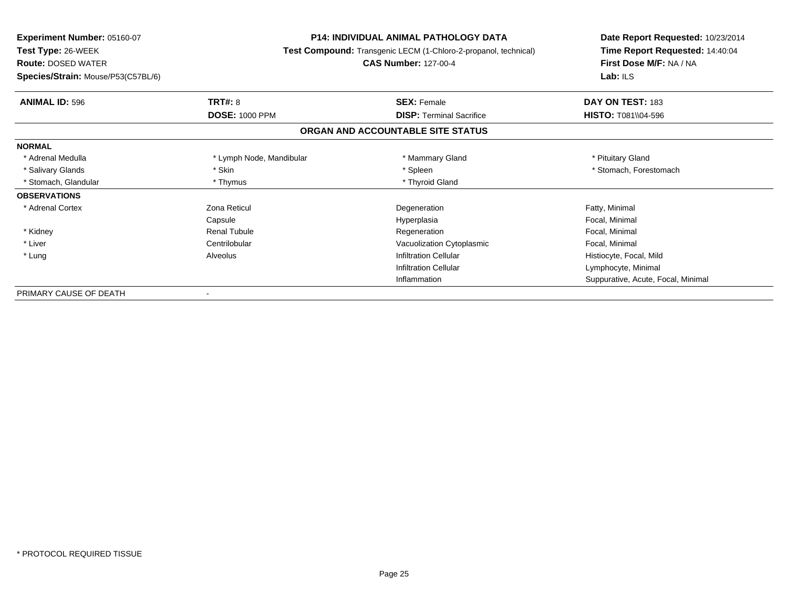| <b>Experiment Number: 05160-07</b>      | <b>P14: INDIVIDUAL ANIMAL PATHOLOGY DATA</b><br><b>Test Compound:</b> Transgenic LECM (1-Chloro-2-propanol, technical)<br><b>CAS Number: 127-00-4</b> |                                   | Date Report Requested: 10/23/2014<br>Time Report Requested: 14:40:04<br>First Dose M/F: NA / NA<br>Lab: $ILS$ |
|-----------------------------------------|-------------------------------------------------------------------------------------------------------------------------------------------------------|-----------------------------------|---------------------------------------------------------------------------------------------------------------|
| <b>Test Type: 26-WEEK</b>               |                                                                                                                                                       |                                   |                                                                                                               |
| <b>Route: DOSED WATER</b>               |                                                                                                                                                       |                                   |                                                                                                               |
| Species/Strain: Mouse/P53(C57BL/6)      |                                                                                                                                                       |                                   |                                                                                                               |
| <b>ANIMAL ID: 596</b><br><b>TRT#: 8</b> |                                                                                                                                                       | <b>SEX: Female</b>                | DAY ON TEST: 183                                                                                              |
|                                         | <b>DOSE: 1000 PPM</b>                                                                                                                                 | <b>DISP:</b> Terminal Sacrifice   | <b>HISTO: T081\\04-596</b>                                                                                    |
|                                         |                                                                                                                                                       | ORGAN AND ACCOUNTABLE SITE STATUS |                                                                                                               |
| <b>NORMAL</b>                           |                                                                                                                                                       |                                   |                                                                                                               |
| * Adrenal Medulla                       | * Lymph Node, Mandibular                                                                                                                              | * Mammary Gland                   | * Pituitary Gland                                                                                             |
| * Skin<br>* Salivary Glands             |                                                                                                                                                       | * Spleen                          | * Stomach, Forestomach                                                                                        |
| * Stomach, Glandular                    | * Thymus                                                                                                                                              | * Thyroid Gland                   |                                                                                                               |
| <b>OBSERVATIONS</b>                     |                                                                                                                                                       |                                   |                                                                                                               |
| * Adrenal Cortex<br><b>Zona Reticul</b> |                                                                                                                                                       | Degeneration                      | Fatty, Minimal                                                                                                |
| Capsule                                 |                                                                                                                                                       | Hyperplasia                       | Focal, Minimal                                                                                                |
| * Kidney                                | Renal Tubule                                                                                                                                          | Regeneration                      | Focal, Minimal                                                                                                |
| * Liver<br>Centrilobular                |                                                                                                                                                       | Vacuolization Cytoplasmic         | Focal, Minimal                                                                                                |
| Alveolus<br>* Lung                      |                                                                                                                                                       | <b>Infiltration Cellular</b>      | Histiocyte, Focal, Mild                                                                                       |
|                                         |                                                                                                                                                       | <b>Infiltration Cellular</b>      | Lymphocyte, Minimal                                                                                           |
|                                         |                                                                                                                                                       | Inflammation                      | Suppurative, Acute, Focal, Minimal                                                                            |
| PRIMARY CAUSE OF DEATH                  |                                                                                                                                                       |                                   |                                                                                                               |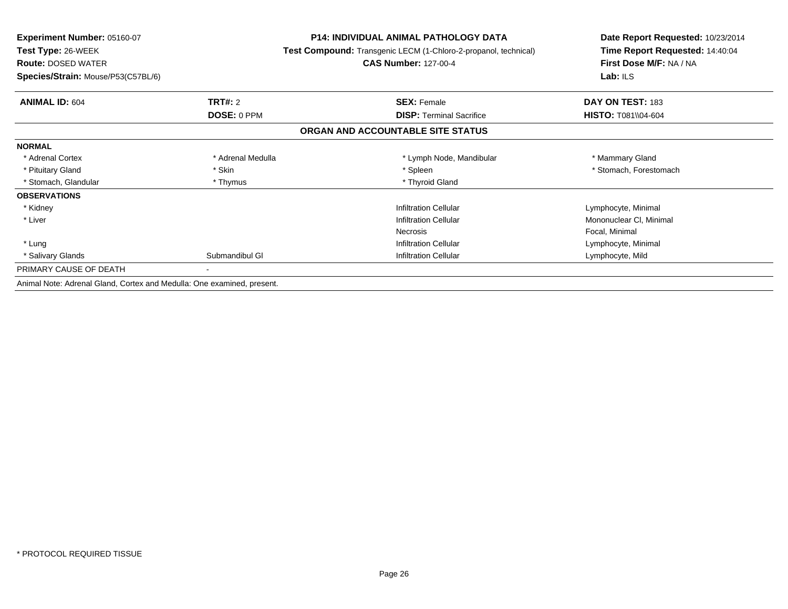| <b>Experiment Number: 05160-07</b>                                     | <b>P14: INDIVIDUAL ANIMAL PATHOLOGY DATA</b><br>Test Compound: Transgenic LECM (1-Chloro-2-propanol, technical) |                                   | Date Report Requested: 10/23/2014 |  |
|------------------------------------------------------------------------|-----------------------------------------------------------------------------------------------------------------|-----------------------------------|-----------------------------------|--|
| Test Type: 26-WEEK                                                     |                                                                                                                 |                                   | Time Report Requested: 14:40:04   |  |
| <b>Route: DOSED WATER</b>                                              |                                                                                                                 | <b>CAS Number: 127-00-4</b>       | First Dose M/F: NA / NA           |  |
| Species/Strain: Mouse/P53(C57BL/6)                                     |                                                                                                                 |                                   | Lab: $ILS$                        |  |
| <b>ANIMAL ID: 604</b>                                                  | <b>TRT#: 2</b>                                                                                                  | <b>SEX: Female</b>                | DAY ON TEST: 183                  |  |
|                                                                        | DOSE: 0 PPM                                                                                                     | <b>DISP:</b> Terminal Sacrifice   | <b>HISTO: T081\\04-604</b>        |  |
|                                                                        |                                                                                                                 | ORGAN AND ACCOUNTABLE SITE STATUS |                                   |  |
| <b>NORMAL</b>                                                          |                                                                                                                 |                                   |                                   |  |
| * Adrenal Cortex                                                       | * Adrenal Medulla                                                                                               | * Lymph Node, Mandibular          | * Mammary Gland                   |  |
| * Pituitary Gland                                                      | * Skin                                                                                                          | * Spleen                          | * Stomach, Forestomach            |  |
| * Stomach, Glandular                                                   | * Thymus                                                                                                        | * Thyroid Gland                   |                                   |  |
| <b>OBSERVATIONS</b>                                                    |                                                                                                                 |                                   |                                   |  |
| * Kidney                                                               |                                                                                                                 | <b>Infiltration Cellular</b>      | Lymphocyte, Minimal               |  |
| * Liver                                                                |                                                                                                                 | <b>Infiltration Cellular</b>      | Mononuclear CI, Minimal           |  |
|                                                                        |                                                                                                                 | Necrosis                          | Focal, Minimal                    |  |
| * Lung                                                                 |                                                                                                                 | <b>Infiltration Cellular</b>      | Lymphocyte, Minimal               |  |
| * Salivary Glands                                                      | Submandibul GI                                                                                                  | <b>Infiltration Cellular</b>      | Lymphocyte, Mild                  |  |
| PRIMARY CAUSE OF DEATH                                                 |                                                                                                                 |                                   |                                   |  |
| Animal Note: Adrenal Gland, Cortex and Medulla: One examined, present. |                                                                                                                 |                                   |                                   |  |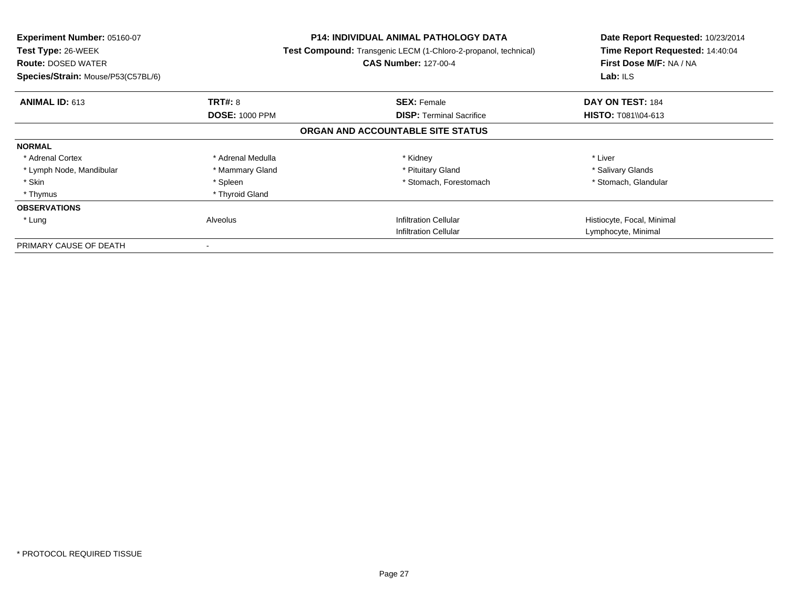| <b>Experiment Number: 05160-07</b><br><b>Test Type: 26-WEEK</b><br><b>Route: DOSED WATER</b><br>Species/Strain: Mouse/P53(C57BL/6) |                       | <b>P14: INDIVIDUAL ANIMAL PATHOLOGY DATA</b><br><b>Test Compound:</b> Transgenic LECM (1-Chloro-2-propanol, technical)<br><b>CAS Number: 127-00-4</b> | Date Report Requested: 10/23/2014<br>Time Report Requested: 14:40:04<br>First Dose M/F: NA / NA<br>Lab: $ILS$ |
|------------------------------------------------------------------------------------------------------------------------------------|-----------------------|-------------------------------------------------------------------------------------------------------------------------------------------------------|---------------------------------------------------------------------------------------------------------------|
| <b>ANIMAL ID: 613</b>                                                                                                              | <b>TRT#: 8</b>        | <b>SEX: Female</b>                                                                                                                                    | DAY ON TEST: 184                                                                                              |
|                                                                                                                                    | <b>DOSE: 1000 PPM</b> | <b>DISP: Terminal Sacrifice</b>                                                                                                                       | <b>HISTO: T081\\04-613</b>                                                                                    |
|                                                                                                                                    |                       | ORGAN AND ACCOUNTABLE SITE STATUS                                                                                                                     |                                                                                                               |
| <b>NORMAL</b>                                                                                                                      |                       |                                                                                                                                                       |                                                                                                               |
| * Adrenal Cortex                                                                                                                   | * Adrenal Medulla     | * Kidney                                                                                                                                              | * Liver                                                                                                       |
| * Lymph Node, Mandibular                                                                                                           | * Mammary Gland       | * Pituitary Gland                                                                                                                                     | * Salivary Glands                                                                                             |
| * Skin                                                                                                                             | * Spleen              | * Stomach, Forestomach                                                                                                                                | * Stomach, Glandular                                                                                          |
| * Thymus                                                                                                                           | * Thyroid Gland       |                                                                                                                                                       |                                                                                                               |
| <b>OBSERVATIONS</b>                                                                                                                |                       |                                                                                                                                                       |                                                                                                               |
| * Lung                                                                                                                             | Alveolus              | <b>Infiltration Cellular</b>                                                                                                                          | Histiocyte, Focal, Minimal                                                                                    |
|                                                                                                                                    |                       | <b>Infiltration Cellular</b>                                                                                                                          | Lymphocyte, Minimal                                                                                           |
| PRIMARY CAUSE OF DEATH                                                                                                             |                       |                                                                                                                                                       |                                                                                                               |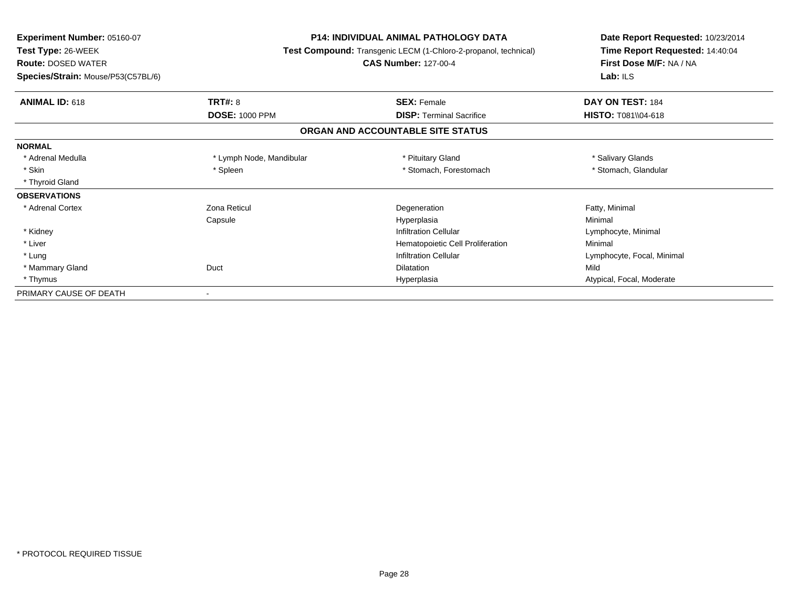| Experiment Number: 05160-07        | <b>P14: INDIVIDUAL ANIMAL PATHOLOGY DATA</b><br>Test Compound: Transgenic LECM (1-Chloro-2-propanol, technical) |                                   | Date Report Requested: 10/23/2014<br>Time Report Requested: 14:40:04 |
|------------------------------------|-----------------------------------------------------------------------------------------------------------------|-----------------------------------|----------------------------------------------------------------------|
| Test Type: 26-WEEK                 |                                                                                                                 |                                   |                                                                      |
| <b>Route: DOSED WATER</b>          |                                                                                                                 | <b>CAS Number: 127-00-4</b>       | First Dose M/F: NA / NA                                              |
| Species/Strain: Mouse/P53(C57BL/6) |                                                                                                                 |                                   | Lab: $ILS$                                                           |
| <b>ANIMAL ID: 618</b>              | <b>TRT#: 8</b>                                                                                                  | <b>SEX: Female</b>                | DAY ON TEST: 184                                                     |
|                                    | <b>DOSE: 1000 PPM</b>                                                                                           | <b>DISP:</b> Terminal Sacrifice   | <b>HISTO: T081\\04-618</b>                                           |
|                                    |                                                                                                                 | ORGAN AND ACCOUNTABLE SITE STATUS |                                                                      |
| <b>NORMAL</b>                      |                                                                                                                 |                                   |                                                                      |
| * Adrenal Medulla                  | * Lymph Node, Mandibular                                                                                        | * Pituitary Gland                 | * Salivary Glands                                                    |
| * Skin                             | * Spleen                                                                                                        | * Stomach, Forestomach            | * Stomach, Glandular                                                 |
| * Thyroid Gland                    |                                                                                                                 |                                   |                                                                      |
| <b>OBSERVATIONS</b>                |                                                                                                                 |                                   |                                                                      |
| * Adrenal Cortex                   | Zona Reticul                                                                                                    | Degeneration                      | Fatty, Minimal                                                       |
|                                    | Capsule                                                                                                         | Hyperplasia                       | Minimal                                                              |
| * Kidney                           |                                                                                                                 | <b>Infiltration Cellular</b>      | Lymphocyte, Minimal                                                  |
| * Liver                            |                                                                                                                 | Hematopoietic Cell Proliferation  | Minimal                                                              |
| * Lung                             |                                                                                                                 | <b>Infiltration Cellular</b>      | Lymphocyte, Focal, Minimal                                           |
| * Mammary Gland                    | Duct                                                                                                            | <b>Dilatation</b>                 | Mild                                                                 |
| * Thymus                           |                                                                                                                 | Hyperplasia                       | Atypical, Focal, Moderate                                            |
| PRIMARY CAUSE OF DEATH             |                                                                                                                 |                                   |                                                                      |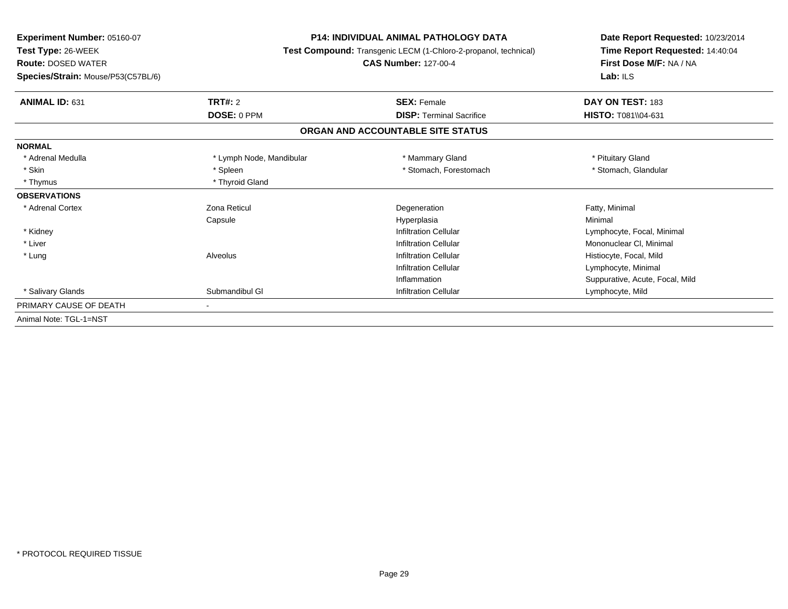| Experiment Number: 05160-07        |                          | <b>P14: INDIVIDUAL ANIMAL PATHOLOGY DATA</b><br>Test Compound: Transgenic LECM (1-Chloro-2-propanol, technical) |                                 |
|------------------------------------|--------------------------|-----------------------------------------------------------------------------------------------------------------|---------------------------------|
| Test Type: 26-WEEK                 |                          |                                                                                                                 |                                 |
| <b>Route: DOSED WATER</b>          |                          | <b>CAS Number: 127-00-4</b>                                                                                     | First Dose M/F: NA / NA         |
| Species/Strain: Mouse/P53(C57BL/6) |                          |                                                                                                                 | Lab: ILS                        |
| <b>ANIMAL ID: 631</b>              | <b>TRT#: 2</b>           | <b>SEX: Female</b>                                                                                              | DAY ON TEST: 183                |
|                                    | DOSE: 0 PPM              | <b>DISP:</b> Terminal Sacrifice                                                                                 | HISTO: T081\\04-631             |
|                                    |                          | ORGAN AND ACCOUNTABLE SITE STATUS                                                                               |                                 |
| <b>NORMAL</b>                      |                          |                                                                                                                 |                                 |
| * Adrenal Medulla                  | * Lymph Node, Mandibular | * Mammary Gland                                                                                                 | * Pituitary Gland               |
| * Skin                             | * Spleen                 | * Stomach, Forestomach                                                                                          | * Stomach, Glandular            |
| * Thymus                           | * Thyroid Gland          |                                                                                                                 |                                 |
| <b>OBSERVATIONS</b>                |                          |                                                                                                                 |                                 |
| * Adrenal Cortex                   | Zona Reticul             | Degeneration                                                                                                    | Fatty, Minimal                  |
|                                    | Capsule                  | Hyperplasia                                                                                                     | Minimal                         |
| * Kidney                           |                          | <b>Infiltration Cellular</b>                                                                                    | Lymphocyte, Focal, Minimal      |
| * Liver                            |                          | <b>Infiltration Cellular</b>                                                                                    | Mononuclear CI, Minimal         |
| * Lung                             | Alveolus                 | <b>Infiltration Cellular</b>                                                                                    | Histiocyte, Focal, Mild         |
|                                    |                          | <b>Infiltration Cellular</b>                                                                                    | Lymphocyte, Minimal             |
|                                    |                          | Inflammation                                                                                                    | Suppurative, Acute, Focal, Mild |
| * Salivary Glands                  | Submandibul GI           | <b>Infiltration Cellular</b>                                                                                    | Lymphocyte, Mild                |
| PRIMARY CAUSE OF DEATH             |                          |                                                                                                                 |                                 |
| Animal Note: TGL-1=NST             |                          |                                                                                                                 |                                 |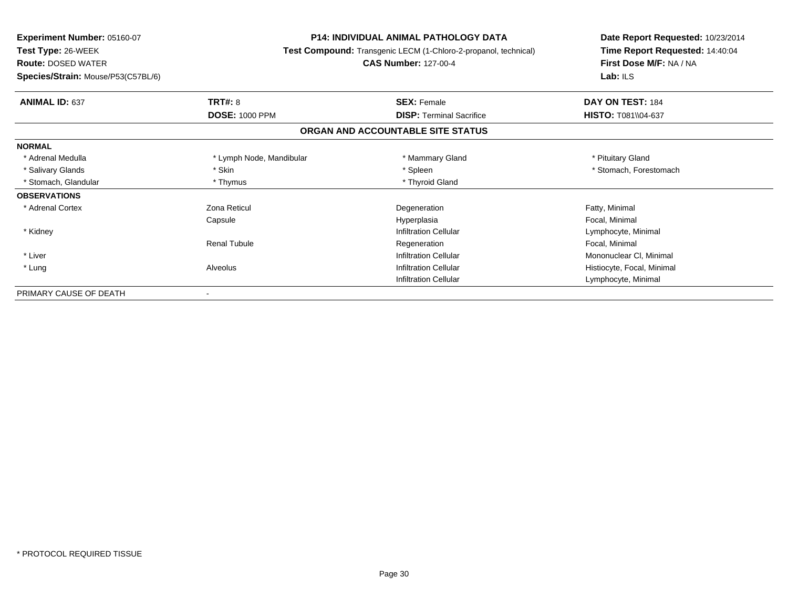| <b>Experiment Number: 05160-07</b>      | <b>P14: INDIVIDUAL ANIMAL PATHOLOGY DATA</b><br><b>Test Compound:</b> Transgenic LECM (1-Chloro-2-propanol, technical) |                                   | Date Report Requested: 10/23/2014<br>Time Report Requested: 14:40:04 |
|-----------------------------------------|------------------------------------------------------------------------------------------------------------------------|-----------------------------------|----------------------------------------------------------------------|
| Test Type: 26-WEEK                      |                                                                                                                        |                                   |                                                                      |
| <b>Route: DOSED WATER</b>               |                                                                                                                        | <b>CAS Number: 127-00-4</b>       | First Dose M/F: NA / NA                                              |
| Species/Strain: Mouse/P53(C57BL/6)      |                                                                                                                        |                                   | Lab: $ILS$                                                           |
| <b>TRT#: 8</b><br><b>ANIMAL ID: 637</b> |                                                                                                                        | <b>SEX: Female</b>                | DAY ON TEST: 184                                                     |
|                                         | <b>DOSE: 1000 PPM</b>                                                                                                  | <b>DISP:</b> Terminal Sacrifice   | <b>HISTO: T081\\04-637</b>                                           |
|                                         |                                                                                                                        | ORGAN AND ACCOUNTABLE SITE STATUS |                                                                      |
| <b>NORMAL</b>                           |                                                                                                                        |                                   |                                                                      |
| * Adrenal Medulla                       | * Lymph Node, Mandibular                                                                                               | * Mammary Gland                   | * Pituitary Gland                                                    |
| * Skin<br>* Salivary Glands             |                                                                                                                        | * Spleen                          | * Stomach, Forestomach                                               |
| * Stomach, Glandular<br>* Thymus        |                                                                                                                        | * Thyroid Gland                   |                                                                      |
| <b>OBSERVATIONS</b>                     |                                                                                                                        |                                   |                                                                      |
| * Adrenal Cortex<br>Zona Reticul        |                                                                                                                        | Degeneration                      | Fatty, Minimal                                                       |
| Capsule                                 |                                                                                                                        | Hyperplasia                       | Focal, Minimal                                                       |
| * Kidney                                |                                                                                                                        | <b>Infiltration Cellular</b>      | Lymphocyte, Minimal                                                  |
| <b>Renal Tubule</b>                     |                                                                                                                        | Regeneration                      | Focal, Minimal                                                       |
| * Liver                                 |                                                                                                                        | <b>Infiltration Cellular</b>      | Mononuclear CI, Minimal                                              |
| * Lung<br>Alveolus                      |                                                                                                                        | <b>Infiltration Cellular</b>      | Histiocyte, Focal, Minimal                                           |
|                                         |                                                                                                                        | <b>Infiltration Cellular</b>      | Lymphocyte, Minimal                                                  |
| PRIMARY CAUSE OF DEATH                  |                                                                                                                        |                                   |                                                                      |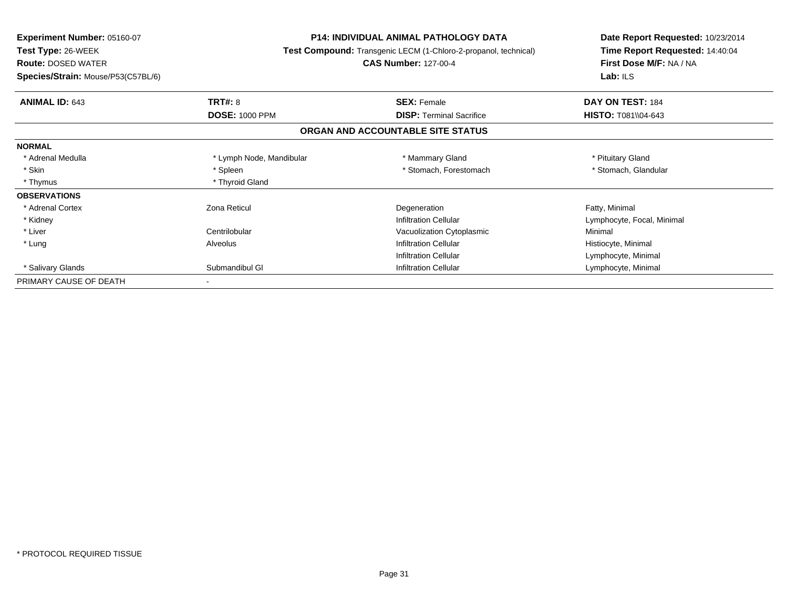| Experiment Number: 05160-07        | <b>P14: INDIVIDUAL ANIMAL PATHOLOGY DATA</b><br><b>Test Compound:</b> Transgenic LECM (1-Chloro-2-propanol, technical) |                                   | Date Report Requested: 10/23/2014 |
|------------------------------------|------------------------------------------------------------------------------------------------------------------------|-----------------------------------|-----------------------------------|
| Test Type: 26-WEEK                 |                                                                                                                        |                                   | Time Report Requested: 14:40:04   |
| <b>Route: DOSED WATER</b>          |                                                                                                                        | <b>CAS Number: 127-00-4</b>       | First Dose M/F: NA / NA           |
| Species/Strain: Mouse/P53(C57BL/6) |                                                                                                                        |                                   | Lab: $ILS$                        |
| <b>ANIMAL ID: 643</b>              | <b>TRT#: 8</b>                                                                                                         | <b>SEX: Female</b>                | DAY ON TEST: 184                  |
|                                    | <b>DOSE: 1000 PPM</b>                                                                                                  | <b>DISP: Terminal Sacrifice</b>   | HISTO: T081\\04-643               |
|                                    |                                                                                                                        | ORGAN AND ACCOUNTABLE SITE STATUS |                                   |
| <b>NORMAL</b>                      |                                                                                                                        |                                   |                                   |
| * Adrenal Medulla                  | * Lymph Node, Mandibular                                                                                               | * Mammary Gland                   | * Pituitary Gland                 |
| * Skin                             | * Spleen                                                                                                               | * Stomach, Forestomach            | * Stomach, Glandular              |
| * Thymus                           | * Thyroid Gland                                                                                                        |                                   |                                   |
| <b>OBSERVATIONS</b>                |                                                                                                                        |                                   |                                   |
| * Adrenal Cortex                   | Zona Reticul                                                                                                           | Degeneration                      | Fatty, Minimal                    |
| * Kidney                           |                                                                                                                        | <b>Infiltration Cellular</b>      | Lymphocyte, Focal, Minimal        |
| * Liver                            | Centrilobular                                                                                                          | Vacuolization Cytoplasmic         | Minimal                           |
| * Lung                             | Alveolus                                                                                                               | <b>Infiltration Cellular</b>      | Histiocyte, Minimal               |
|                                    |                                                                                                                        | <b>Infiltration Cellular</b>      | Lymphocyte, Minimal               |
| * Salivary Glands                  | Submandibul GI                                                                                                         | <b>Infiltration Cellular</b>      | Lymphocyte, Minimal               |
| PRIMARY CAUSE OF DEATH             |                                                                                                                        |                                   |                                   |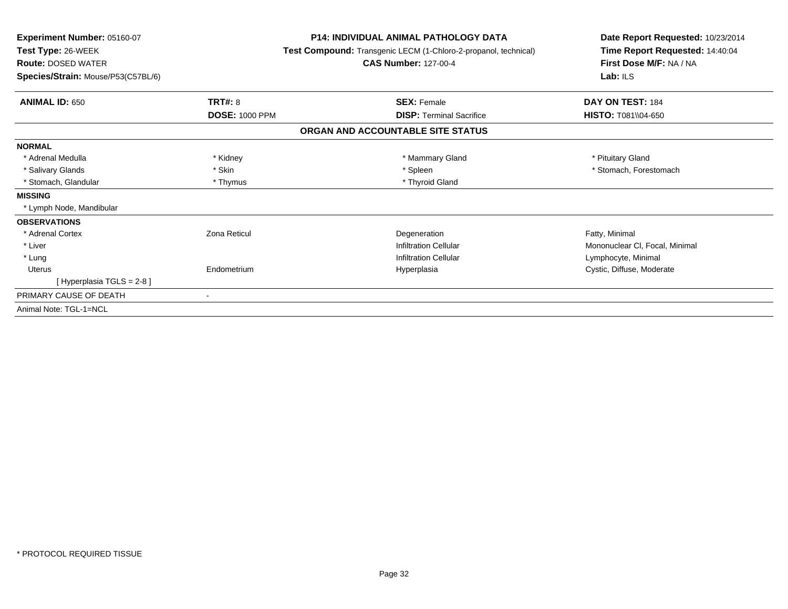| Experiment Number: 05160-07<br>Test Type: 26-WEEK<br><b>Route: DOSED WATER</b><br>Species/Strain: Mouse/P53(C57BL/6) |                       | <b>P14: INDIVIDUAL ANIMAL PATHOLOGY DATA</b><br>Test Compound: Transgenic LECM (1-Chloro-2-propanol, technical)<br><b>CAS Number: 127-00-4</b> | Date Report Requested: 10/23/2014<br>Time Report Requested: 14:40:04<br>First Dose M/F: NA / NA<br>Lab: $ILS$ |  |
|----------------------------------------------------------------------------------------------------------------------|-----------------------|------------------------------------------------------------------------------------------------------------------------------------------------|---------------------------------------------------------------------------------------------------------------|--|
| <b>ANIMAL ID: 650</b>                                                                                                | <b>TRT#: 8</b>        | <b>SEX: Female</b>                                                                                                                             | DAY ON TEST: 184                                                                                              |  |
|                                                                                                                      | <b>DOSE: 1000 PPM</b> | <b>DISP: Terminal Sacrifice</b>                                                                                                                | <b>HISTO: T081\\04-650</b>                                                                                    |  |
|                                                                                                                      |                       | ORGAN AND ACCOUNTABLE SITE STATUS                                                                                                              |                                                                                                               |  |
| <b>NORMAL</b>                                                                                                        |                       |                                                                                                                                                |                                                                                                               |  |
| * Adrenal Medulla                                                                                                    | * Kidney              | * Mammary Gland                                                                                                                                | * Pituitary Gland                                                                                             |  |
| * Salivary Glands                                                                                                    | * Skin                | * Spleen                                                                                                                                       | * Stomach, Forestomach                                                                                        |  |
| * Stomach, Glandular                                                                                                 | * Thymus              | * Thyroid Gland                                                                                                                                |                                                                                                               |  |
| <b>MISSING</b>                                                                                                       |                       |                                                                                                                                                |                                                                                                               |  |
| * Lymph Node, Mandibular                                                                                             |                       |                                                                                                                                                |                                                                                                               |  |
| <b>OBSERVATIONS</b>                                                                                                  |                       |                                                                                                                                                |                                                                                                               |  |
| * Adrenal Cortex                                                                                                     | Zona Reticul          | Degeneration                                                                                                                                   | Fatty, Minimal                                                                                                |  |
| * Liver                                                                                                              |                       | <b>Infiltration Cellular</b>                                                                                                                   | Mononuclear CI, Focal, Minimal                                                                                |  |
| * Lung                                                                                                               |                       | <b>Infiltration Cellular</b>                                                                                                                   | Lymphocyte, Minimal                                                                                           |  |
| <b>Uterus</b>                                                                                                        | Endometrium           | Hyperplasia                                                                                                                                    | Cystic, Diffuse, Moderate                                                                                     |  |
| [Hyperplasia TGLS = 2-8]                                                                                             |                       |                                                                                                                                                |                                                                                                               |  |
| PRIMARY CAUSE OF DEATH                                                                                               |                       |                                                                                                                                                |                                                                                                               |  |
| Animal Note: TGL-1=NCL                                                                                               |                       |                                                                                                                                                |                                                                                                               |  |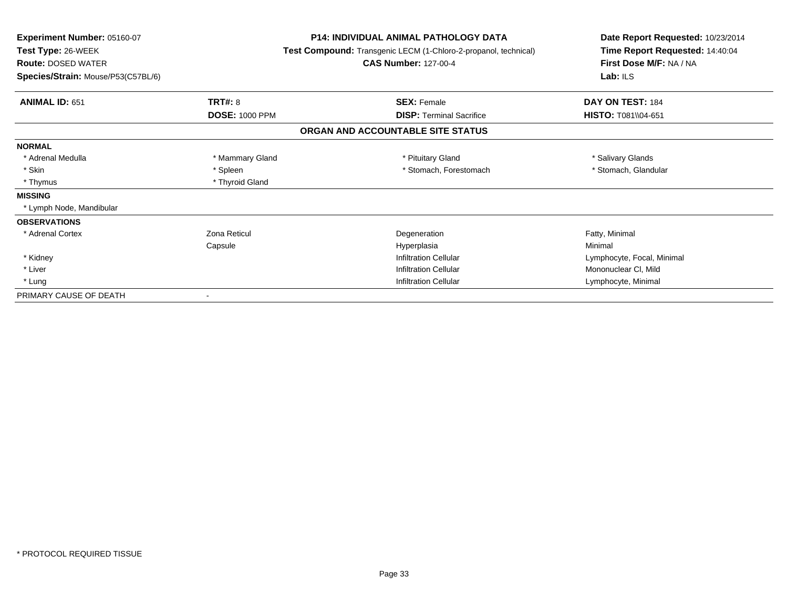| Experiment Number: 05160-07<br>Test Type: 26-WEEK<br><b>Route: DOSED WATER</b><br>Species/Strain: Mouse/P53(C57BL/6) | <b>P14: INDIVIDUAL ANIMAL PATHOLOGY DATA</b><br>Test Compound: Transgenic LECM (1-Chloro-2-propanol, technical)<br><b>CAS Number: 127-00-4</b> |                                   | Date Report Requested: 10/23/2014<br>Time Report Requested: 14:40:04<br>First Dose M/F: NA / NA<br>Lab: ILS |
|----------------------------------------------------------------------------------------------------------------------|------------------------------------------------------------------------------------------------------------------------------------------------|-----------------------------------|-------------------------------------------------------------------------------------------------------------|
| <b>ANIMAL ID: 651</b>                                                                                                | <b>TRT#: 8</b>                                                                                                                                 | <b>SEX: Female</b>                | DAY ON TEST: 184                                                                                            |
|                                                                                                                      | <b>DOSE: 1000 PPM</b>                                                                                                                          | <b>DISP: Terminal Sacrifice</b>   | <b>HISTO: T081\\04-651</b>                                                                                  |
|                                                                                                                      |                                                                                                                                                | ORGAN AND ACCOUNTABLE SITE STATUS |                                                                                                             |
| <b>NORMAL</b>                                                                                                        |                                                                                                                                                |                                   |                                                                                                             |
| * Adrenal Medulla                                                                                                    | * Mammary Gland                                                                                                                                | * Pituitary Gland                 | * Salivary Glands                                                                                           |
| * Skin                                                                                                               | * Spleen                                                                                                                                       | * Stomach, Forestomach            | * Stomach, Glandular                                                                                        |
| * Thymus                                                                                                             | * Thyroid Gland                                                                                                                                |                                   |                                                                                                             |
| <b>MISSING</b>                                                                                                       |                                                                                                                                                |                                   |                                                                                                             |
| * Lymph Node, Mandibular                                                                                             |                                                                                                                                                |                                   |                                                                                                             |
| <b>OBSERVATIONS</b>                                                                                                  |                                                                                                                                                |                                   |                                                                                                             |
| * Adrenal Cortex                                                                                                     | Zona Reticul                                                                                                                                   | Degeneration                      | Fatty, Minimal                                                                                              |
|                                                                                                                      | Capsule                                                                                                                                        | Hyperplasia                       | Minimal                                                                                                     |
| * Kidney                                                                                                             |                                                                                                                                                | <b>Infiltration Cellular</b>      | Lymphocyte, Focal, Minimal                                                                                  |
| * Liver                                                                                                              |                                                                                                                                                | <b>Infiltration Cellular</b>      | Mononuclear CI, Mild                                                                                        |
| * Lung                                                                                                               |                                                                                                                                                | <b>Infiltration Cellular</b>      | Lymphocyte, Minimal                                                                                         |
| PRIMARY CAUSE OF DEATH                                                                                               |                                                                                                                                                |                                   |                                                                                                             |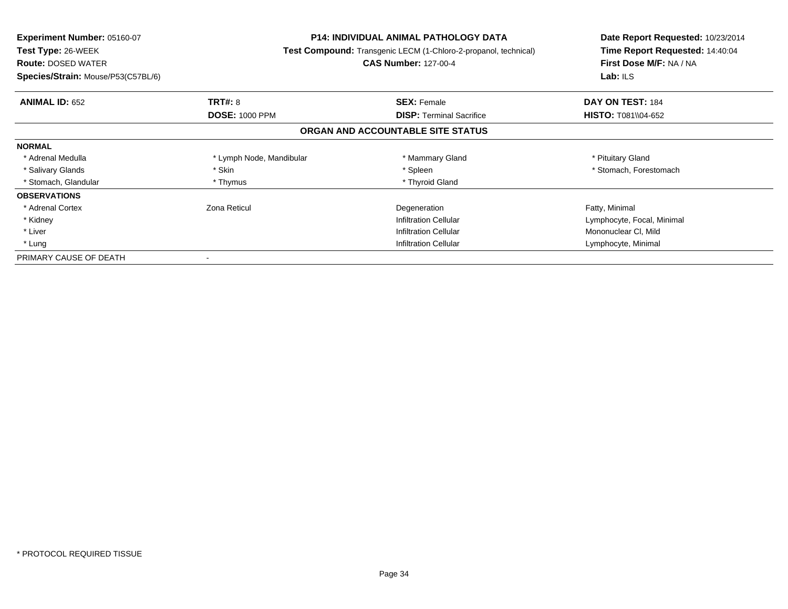| <b>Experiment Number: 05160-07</b><br>Test Type: 26-WEEK<br><b>Route: DOSED WATER</b><br><b>Species/Strain: Mouse/P53(C57BL/6)</b> | <b>P14: INDIVIDUAL ANIMAL PATHOLOGY DATA</b><br><b>Test Compound:</b> Transgenic LECM (1-Chloro-2-propanol, technical)<br><b>CAS Number: 127-00-4</b> |                                   | Date Report Requested: 10/23/2014<br>Time Report Requested: 14:40:04<br>First Dose M/F: NA / NA<br>Lab: ILS |
|------------------------------------------------------------------------------------------------------------------------------------|-------------------------------------------------------------------------------------------------------------------------------------------------------|-----------------------------------|-------------------------------------------------------------------------------------------------------------|
| <b>ANIMAL ID: 652</b>                                                                                                              | <b>TRT#: 8</b>                                                                                                                                        | <b>SEX: Female</b>                | DAY ON TEST: 184                                                                                            |
|                                                                                                                                    | <b>DOSE: 1000 PPM</b>                                                                                                                                 | <b>DISP:</b> Terminal Sacrifice   | <b>HISTO: T081\\04-652</b>                                                                                  |
|                                                                                                                                    |                                                                                                                                                       | ORGAN AND ACCOUNTABLE SITE STATUS |                                                                                                             |
| <b>NORMAL</b>                                                                                                                      |                                                                                                                                                       |                                   |                                                                                                             |
| * Adrenal Medulla                                                                                                                  | * Lymph Node, Mandibular                                                                                                                              | * Mammary Gland                   | * Pituitary Gland                                                                                           |
| * Salivary Glands                                                                                                                  | * Skin                                                                                                                                                | * Spleen                          | * Stomach, Forestomach                                                                                      |
| * Stomach, Glandular                                                                                                               | * Thymus                                                                                                                                              | * Thyroid Gland                   |                                                                                                             |
| <b>OBSERVATIONS</b>                                                                                                                |                                                                                                                                                       |                                   |                                                                                                             |
| * Adrenal Cortex                                                                                                                   | Zona Reticul                                                                                                                                          | Degeneration                      | Fatty, Minimal                                                                                              |
| * Kidney                                                                                                                           |                                                                                                                                                       | <b>Infiltration Cellular</b>      | Lymphocyte, Focal, Minimal                                                                                  |
| * Liver                                                                                                                            |                                                                                                                                                       | <b>Infiltration Cellular</b>      | Mononuclear CI, Mild                                                                                        |
| * Lung                                                                                                                             |                                                                                                                                                       | <b>Infiltration Cellular</b>      | Lymphocyte, Minimal                                                                                         |
| PRIMARY CAUSE OF DEATH                                                                                                             |                                                                                                                                                       |                                   |                                                                                                             |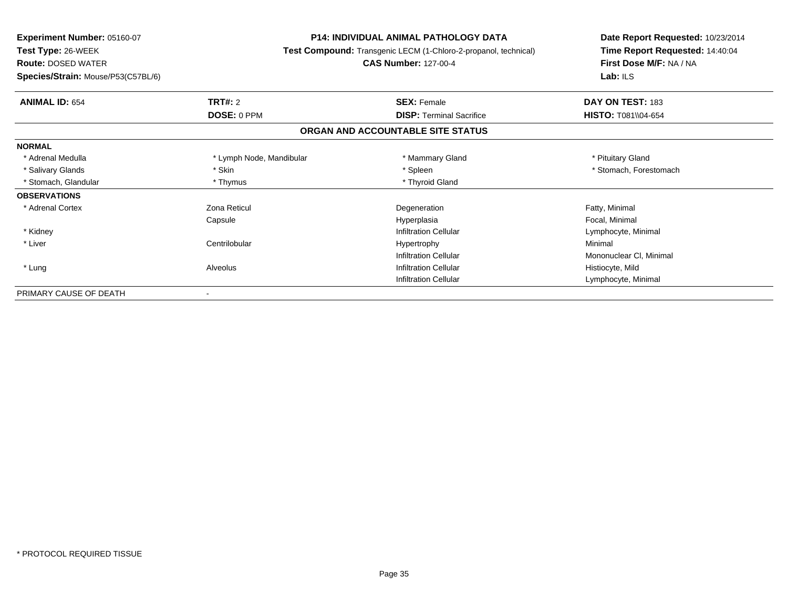| <b>Experiment Number: 05160-07</b>            | <b>P14: INDIVIDUAL ANIMAL PATHOLOGY DATA</b>                           | Date Report Requested: 10/23/2014<br>Time Report Requested: 14:40:04<br>First Dose M/F: NA / NA<br>Lab: $ILS$ |
|-----------------------------------------------|------------------------------------------------------------------------|---------------------------------------------------------------------------------------------------------------|
| <b>Test Type: 26-WEEK</b>                     | <b>Test Compound:</b> Transgenic LECM (1-Chloro-2-propanol, technical) |                                                                                                               |
| <b>Route: DOSED WATER</b>                     | <b>CAS Number: 127-00-4</b>                                            |                                                                                                               |
| Species/Strain: Mouse/P53(C57BL/6)            |                                                                        |                                                                                                               |
| <b>ANIMAL ID: 654</b><br>TRT#: 2              | <b>SEX: Female</b>                                                     | DAY ON TEST: 183                                                                                              |
| DOSE: 0 PPM                                   | <b>DISP:</b> Terminal Sacrifice                                        | <b>HISTO: T081\\04-654</b>                                                                                    |
|                                               | ORGAN AND ACCOUNTABLE SITE STATUS                                      |                                                                                                               |
| <b>NORMAL</b>                                 |                                                                        |                                                                                                               |
| * Adrenal Medulla<br>* Lymph Node, Mandibular | * Mammary Gland                                                        | * Pituitary Gland                                                                                             |
| * Skin<br>* Salivary Glands                   | * Spleen                                                               | * Stomach, Forestomach                                                                                        |
| * Stomach, Glandular<br>* Thymus              | * Thyroid Gland                                                        |                                                                                                               |
| <b>OBSERVATIONS</b>                           |                                                                        |                                                                                                               |
| Zona Reticul<br>* Adrenal Cortex              | Degeneration                                                           | Fatty, Minimal                                                                                                |
| Capsule                                       | Hyperplasia                                                            | Focal, Minimal                                                                                                |
| * Kidney                                      | <b>Infiltration Cellular</b>                                           | Lymphocyte, Minimal                                                                                           |
| * Liver<br>Centrilobular                      | Hypertrophy                                                            | Minimal                                                                                                       |
|                                               | <b>Infiltration Cellular</b>                                           | Mononuclear CI, Minimal                                                                                       |
| * Lung<br>Alveolus                            | <b>Infiltration Cellular</b>                                           | Histiocyte, Mild                                                                                              |
|                                               | <b>Infiltration Cellular</b>                                           | Lymphocyte, Minimal                                                                                           |
| PRIMARY CAUSE OF DEATH                        |                                                                        |                                                                                                               |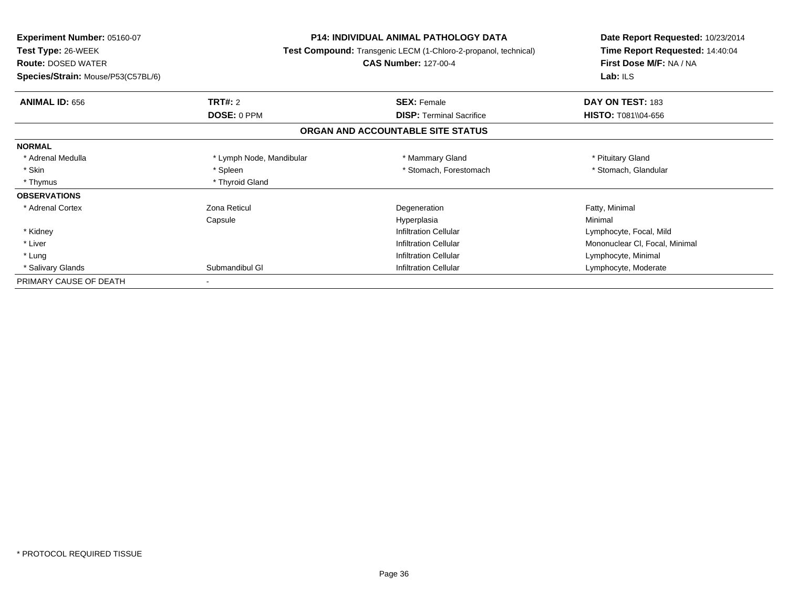| <b>Experiment Number: 05160-07</b>        | <b>P14: INDIVIDUAL ANIMAL PATHOLOGY DATA</b>                    |                                   | Date Report Requested: 10/23/2014<br>Time Report Requested: 14:40:04 |
|-------------------------------------------|-----------------------------------------------------------------|-----------------------------------|----------------------------------------------------------------------|
| Test Type: 26-WEEK                        | Test Compound: Transgenic LECM (1-Chloro-2-propanol, technical) |                                   |                                                                      |
| <b>Route: DOSED WATER</b>                 |                                                                 | <b>CAS Number: 127-00-4</b>       | First Dose M/F: NA / NA                                              |
| <b>Species/Strain: Mouse/P53(C57BL/6)</b> |                                                                 |                                   |                                                                      |
| <b>ANIMAL ID: 656</b>                     | TRT#: 2                                                         | <b>SEX: Female</b>                | DAY ON TEST: 183                                                     |
|                                           | DOSE: 0 PPM                                                     | <b>DISP: Terminal Sacrifice</b>   | <b>HISTO: T081\\04-656</b>                                           |
|                                           |                                                                 | ORGAN AND ACCOUNTABLE SITE STATUS |                                                                      |
| <b>NORMAL</b>                             |                                                                 |                                   |                                                                      |
| * Adrenal Medulla                         | * Lymph Node, Mandibular                                        | * Mammary Gland                   | * Pituitary Gland                                                    |
| * Skin                                    | * Spleen                                                        | * Stomach, Forestomach            | * Stomach, Glandular                                                 |
| * Thymus                                  | * Thyroid Gland                                                 |                                   |                                                                      |
| <b>OBSERVATIONS</b>                       |                                                                 |                                   |                                                                      |
| * Adrenal Cortex                          | Zona Reticul                                                    | Degeneration                      | Fatty, Minimal                                                       |
|                                           | Capsule                                                         | Hyperplasia                       | Minimal                                                              |
| * Kidney                                  |                                                                 | <b>Infiltration Cellular</b>      | Lymphocyte, Focal, Mild                                              |
| * Liver                                   |                                                                 | <b>Infiltration Cellular</b>      | Mononuclear CI, Focal, Minimal                                       |
| * Lung                                    |                                                                 | <b>Infiltration Cellular</b>      | Lymphocyte, Minimal                                                  |
| * Salivary Glands                         | Submandibul GI                                                  | <b>Infiltration Cellular</b>      | Lymphocyte, Moderate                                                 |
| PRIMARY CAUSE OF DEATH                    |                                                                 |                                   |                                                                      |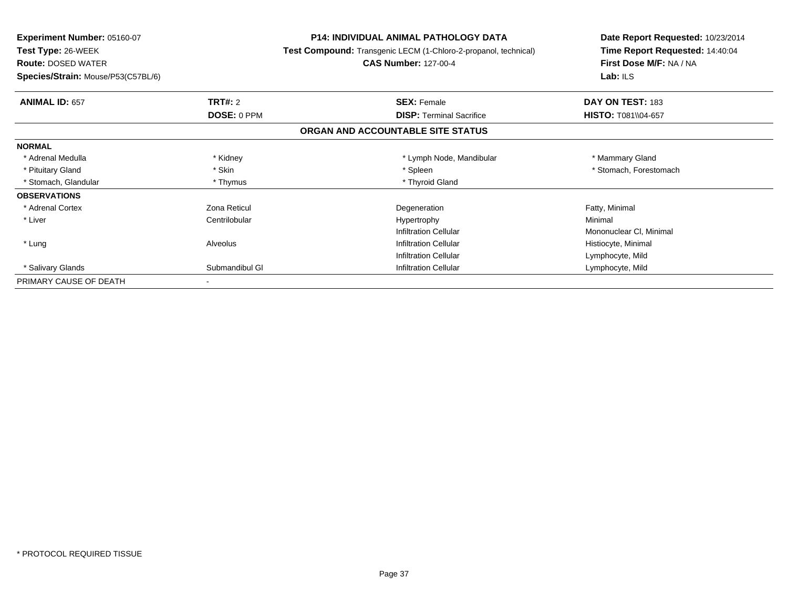| Experiment Number: 05160-07<br><b>Test Type: 26-WEEK</b><br><b>Route: DOSED WATER</b> |                | <b>P14: INDIVIDUAL ANIMAL PATHOLOGY DATA</b>                    | Date Report Requested: 10/23/2014<br>Time Report Requested: 14:40:04<br>First Dose M/F: NA / NA |  |
|---------------------------------------------------------------------------------------|----------------|-----------------------------------------------------------------|-------------------------------------------------------------------------------------------------|--|
|                                                                                       |                | Test Compound: Transgenic LECM (1-Chloro-2-propanol, technical) |                                                                                                 |  |
|                                                                                       |                | <b>CAS Number: 127-00-4</b>                                     |                                                                                                 |  |
| Species/Strain: Mouse/P53(C57BL/6)                                                    |                |                                                                 | Lab: ILS                                                                                        |  |
| <b>ANIMAL ID: 657</b>                                                                 | TRT#: 2        | <b>SEX: Female</b>                                              | DAY ON TEST: 183                                                                                |  |
|                                                                                       | DOSE: 0 PPM    | <b>DISP:</b> Terminal Sacrifice                                 | HISTO: T081\\04-657                                                                             |  |
|                                                                                       |                | ORGAN AND ACCOUNTABLE SITE STATUS                               |                                                                                                 |  |
| <b>NORMAL</b>                                                                         |                |                                                                 |                                                                                                 |  |
| * Adrenal Medulla                                                                     | * Kidney       | * Lymph Node, Mandibular                                        | * Mammary Gland                                                                                 |  |
| * Pituitary Gland                                                                     | * Skin         | * Spleen                                                        | * Stomach, Forestomach                                                                          |  |
| * Stomach, Glandular                                                                  | * Thymus       | * Thyroid Gland                                                 |                                                                                                 |  |
| <b>OBSERVATIONS</b>                                                                   |                |                                                                 |                                                                                                 |  |
| * Adrenal Cortex                                                                      | Zona Reticul   | Degeneration                                                    | Fatty, Minimal                                                                                  |  |
| * Liver                                                                               | Centrilobular  | Hypertrophy                                                     | Minimal                                                                                         |  |
|                                                                                       |                | <b>Infiltration Cellular</b>                                    | Mononuclear CI, Minimal                                                                         |  |
| * Lung                                                                                | Alveolus       | <b>Infiltration Cellular</b>                                    | Histiocyte, Minimal                                                                             |  |
|                                                                                       |                | <b>Infiltration Cellular</b>                                    | Lymphocyte, Mild                                                                                |  |
| * Salivary Glands                                                                     | Submandibul GI | <b>Infiltration Cellular</b>                                    | Lymphocyte, Mild                                                                                |  |
| PRIMARY CAUSE OF DEATH                                                                |                |                                                                 |                                                                                                 |  |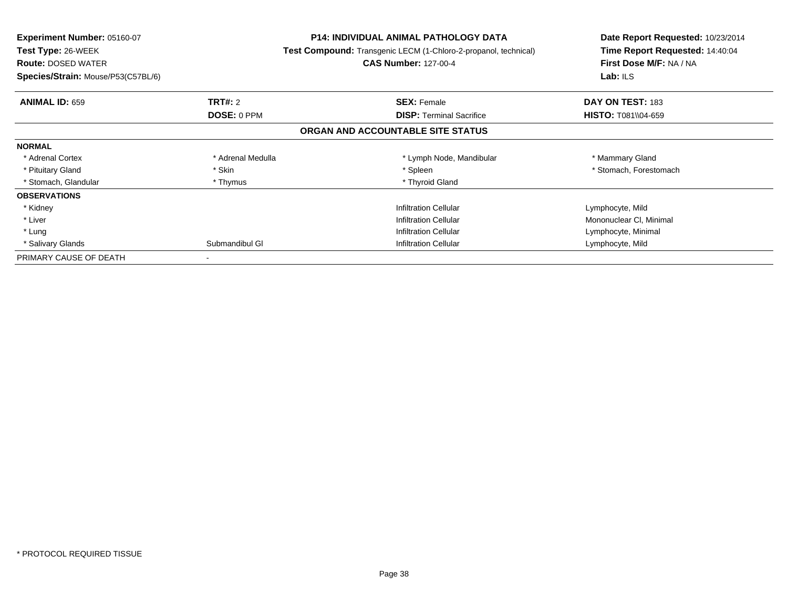| Experiment Number: 05160-07<br><b>Test Type: 26-WEEK</b><br><b>Route: DOSED WATER</b><br>Species/Strain: Mouse/P53(C57BL/6) |                   | <b>P14: INDIVIDUAL ANIMAL PATHOLOGY DATA</b><br><b>Test Compound:</b> Transgenic LECM (1-Chloro-2-propanol, technical)<br><b>CAS Number: 127-00-4</b> | Date Report Requested: 10/23/2014<br>Time Report Requested: 14:40:04<br>First Dose M/F: NA / NA<br>Lab: $ILS$ |
|-----------------------------------------------------------------------------------------------------------------------------|-------------------|-------------------------------------------------------------------------------------------------------------------------------------------------------|---------------------------------------------------------------------------------------------------------------|
|                                                                                                                             |                   |                                                                                                                                                       |                                                                                                               |
| <b>ANIMAL ID: 659</b>                                                                                                       | <b>TRT#: 2</b>    | <b>SEX: Female</b>                                                                                                                                    | DAY ON TEST: 183                                                                                              |
|                                                                                                                             | DOSE: 0 PPM       | <b>DISP:</b> Terminal Sacrifice                                                                                                                       | <b>HISTO: T081\\04-659</b>                                                                                    |
|                                                                                                                             |                   | ORGAN AND ACCOUNTABLE SITE STATUS                                                                                                                     |                                                                                                               |
| <b>NORMAL</b>                                                                                                               |                   |                                                                                                                                                       |                                                                                                               |
| * Adrenal Cortex                                                                                                            | * Adrenal Medulla | * Lymph Node, Mandibular                                                                                                                              | * Mammary Gland                                                                                               |
| * Pituitary Gland                                                                                                           | * Skin            | * Spleen                                                                                                                                              | * Stomach, Forestomach                                                                                        |
| * Stomach, Glandular                                                                                                        | * Thymus          | * Thyroid Gland                                                                                                                                       |                                                                                                               |
| <b>OBSERVATIONS</b>                                                                                                         |                   |                                                                                                                                                       |                                                                                                               |
| * Kidney                                                                                                                    |                   | <b>Infiltration Cellular</b>                                                                                                                          | Lymphocyte, Mild                                                                                              |
| * Liver                                                                                                                     |                   | <b>Infiltration Cellular</b>                                                                                                                          | Mononuclear CI, Minimal                                                                                       |
| * Lung                                                                                                                      |                   | <b>Infiltration Cellular</b>                                                                                                                          | Lymphocyte, Minimal                                                                                           |
| * Salivary Glands                                                                                                           | Submandibul GI    | <b>Infiltration Cellular</b>                                                                                                                          | Lymphocyte, Mild                                                                                              |
| PRIMARY CAUSE OF DEATH                                                                                                      |                   |                                                                                                                                                       |                                                                                                               |